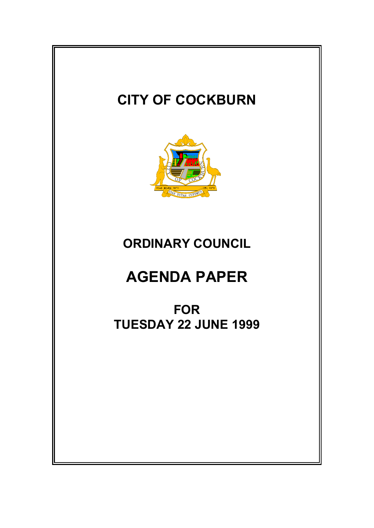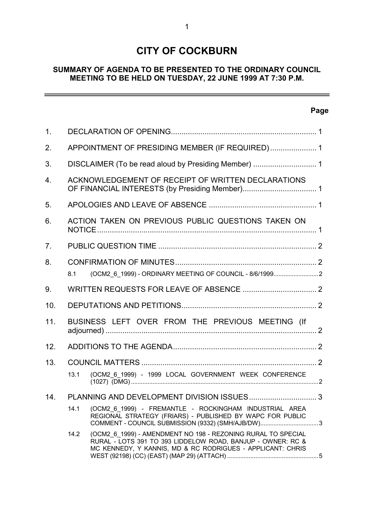# **CITY OF COCKBURN**

# **SUMMARY OF AGENDA TO BE PRESENTED TO THE ORDINARY COUNCIL MEETING TO BE HELD ON TUESDAY, 22 JUNE 1999 AT 7:30 P.M.**

# **Page**

 $\overline{\phantom{0}}$ 

| 1 <sub>1</sub> |                                                      |                                                                                                                                                                                           |  |  |  |  |
|----------------|------------------------------------------------------|-------------------------------------------------------------------------------------------------------------------------------------------------------------------------------------------|--|--|--|--|
| 2.             | APPOINTMENT OF PRESIDING MEMBER (IF REQUIRED) 1      |                                                                                                                                                                                           |  |  |  |  |
| 3.             | DISCLAIMER (To be read aloud by Presiding Member)  1 |                                                                                                                                                                                           |  |  |  |  |
| 4.             | ACKNOWLEDGEMENT OF RECEIPT OF WRITTEN DECLARATIONS   |                                                                                                                                                                                           |  |  |  |  |
| 5.             |                                                      |                                                                                                                                                                                           |  |  |  |  |
| 6.             |                                                      | ACTION TAKEN ON PREVIOUS PUBLIC QUESTIONS TAKEN ON                                                                                                                                        |  |  |  |  |
| 7.             |                                                      |                                                                                                                                                                                           |  |  |  |  |
| 8.             | 8.1                                                  | (OCM2_6_1999) - ORDINARY MEETING OF COUNCIL - 8/6/19992                                                                                                                                   |  |  |  |  |
| 9.             |                                                      |                                                                                                                                                                                           |  |  |  |  |
| 10.            |                                                      |                                                                                                                                                                                           |  |  |  |  |
| 11.            |                                                      | BUSINESS LEFT OVER FROM THE PREVIOUS MEETING (If                                                                                                                                          |  |  |  |  |
| 12.            |                                                      |                                                                                                                                                                                           |  |  |  |  |
| 13.            | 13.1                                                 | (OCM2_6_1999) - 1999 LOCAL GOVERNMENT WEEK CONFERENCE                                                                                                                                     |  |  |  |  |
| 14.            |                                                      |                                                                                                                                                                                           |  |  |  |  |
|                | 14.1                                                 | (OCM2 6 1999) - FREMANTLE - ROCKINGHAM INDUSTRIAL AREA<br>REGIONAL STRATEGY (FRIARS) - PUBLISHED BY WAPC FOR PUBLIC<br>COMMENT - COUNCIL SUBMISSION (9332) (SMH/AJB/DW)3                  |  |  |  |  |
|                | 14.2                                                 | (OCM2 6 1999) - AMENDMENT NO 198 - REZONING RURAL TO SPECIAL<br>RURAL - LOTS 391 TO 393 LIDDELOW ROAD, BANJUP - OWNER: RC &<br>MC KENNEDY, Y KANNIS, MD & RC RODRIGUES - APPLICANT: CHRIS |  |  |  |  |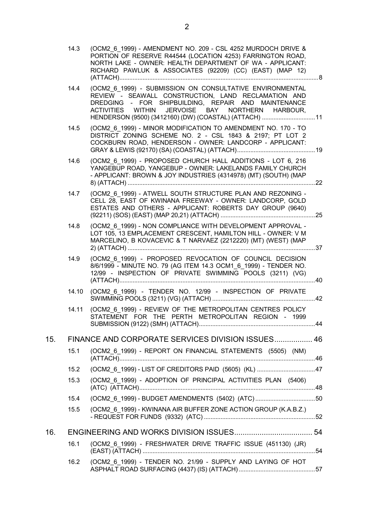|     | 14.3  | (OCM2 6 1999) - AMENDMENT NO. 209 - CSL 4252 MURDOCH DRIVE &<br>PORTION OF RESERVE R44544 (LOCATION 4253) FARRINGTON ROAD,<br>NORTH LAKE - OWNER: HEALTH DEPARTMENT OF WA - APPLICANT:<br>RICHARD PAWLUK & ASSOCIATES (92209) (CC) (EAST) (MAP 12)                                   |  |
|-----|-------|--------------------------------------------------------------------------------------------------------------------------------------------------------------------------------------------------------------------------------------------------------------------------------------|--|
|     | 14.4  | (OCM2 6 1999) - SUBMISSION ON CONSULTATIVE ENVIRONMENTAL<br>REVIEW - SEAWALL CONSTRUCTION, LAND RECLAMATION AND<br>DREDGING - FOR SHIPBUILDING, REPAIR AND MAINTENANCE<br>ACTIVITIES WITHIN JERVOISE BAY NORTHERN HARBOUR,<br>HENDERSON (9500) (3412160) (DW) (COASTAL) (ATTACH)  11 |  |
|     | 14.5  | (OCM2_6_1999) - MINOR MODIFICATION TO AMENDMENT NO. 170 - TO<br>DISTRICT ZONING SCHEME NO. 2 - CSL 1843 & 2197; PT LOT 2<br>COCKBURN ROAD, HENDERSON - OWNER: LANDCORP - APPLICANT:                                                                                                  |  |
|     | 14.6  | (OCM2 6 1999) - PROPOSED CHURCH HALL ADDITIONS - LOT 6, 216<br>YANGEBUP ROAD, YANGEBUP - OWNER: LAKELANDS FAMILY CHURCH<br>- APPLICANT: BROWN & JOY INDUSTRIES (4314978) (MT) (SOUTH) (MAP                                                                                           |  |
|     | 14.7  | (OCM2_6_1999) - ATWELL SOUTH STRUCTURE PLAN AND REZONING -<br>CELL 28, EAST OF KWINANA FREEWAY - OWNER: LANDCORP, GOLD<br>ESTATES AND OTHERS - APPLICANT: ROBERTS DAY GROUP (9640)                                                                                                   |  |
|     | 14.8  | (OCM2 6 1999) - NON COMPLIANCE WITH DEVELOPMENT APPROVAL -<br>LOT 105, 13 EMPLACEMENT CRESCENT, HAMILTON HILL - OWNER: V M<br>MARCELINO, B KOVACEVIC & T NARVAEZ (2212220) (MT) (WEST) (MAP                                                                                          |  |
|     | 14.9  | (OCM2 6 1999) - PROPOSED REVOCATION OF COUNCIL DECISION<br>8/6/1999 - MINUTE NO. 79 (AG ITEM 14.3 OCM1_6_1999) - TENDER NO.<br>12/99 - INSPECTION OF PRIVATE SWIMMING POOLS (3211) (VG)                                                                                              |  |
|     | 14.10 | (OCM2 6 1999) - TENDER NO. 12/99 - INSPECTION OF PRIVATE                                                                                                                                                                                                                             |  |
|     | 14.11 | (OCM2_6_1999) - REVIEW OF THE METROPOLITAN CENTRES POLICY<br>STATEMENT FOR THE PERTH METROPOLITAN REGION - 1999                                                                                                                                                                      |  |
| 15. |       | FINANCE AND CORPORATE SERVICES DIVISION ISSUES 46                                                                                                                                                                                                                                    |  |
|     | 15.1  | (OCM2 6 1999) - REPORT ON FINANCIAL STATEMENTS (5505) (NM)                                                                                                                                                                                                                           |  |
|     | 15.2  | (OCM2 6 1999) - LIST OF CREDITORS PAID (5605) (KL) 47                                                                                                                                                                                                                                |  |
|     | 15.3  | (OCM2_6_1999) - ADOPTION OF PRINCIPAL ACTIVITIES PLAN (5406)                                                                                                                                                                                                                         |  |
|     | 15.4  | (OCM2 6 1999) - BUDGET AMENDMENTS (5402) (ATC) 50                                                                                                                                                                                                                                    |  |
|     | 15.5  | (OCM2_6_1999) - KWINANA AIR BUFFER ZONE ACTION GROUP (K.A.B.Z.)                                                                                                                                                                                                                      |  |
| 16. |       |                                                                                                                                                                                                                                                                                      |  |
|     | 16.1  | (OCM2 6 1999) - FRESHWATER DRIVE TRAFFIC ISSUE (451130) (JR)                                                                                                                                                                                                                         |  |
|     | 16.2  | (OCM2 6 1999) - TENDER NO. 21/99 - SUPPLY AND LAYING OF HOT                                                                                                                                                                                                                          |  |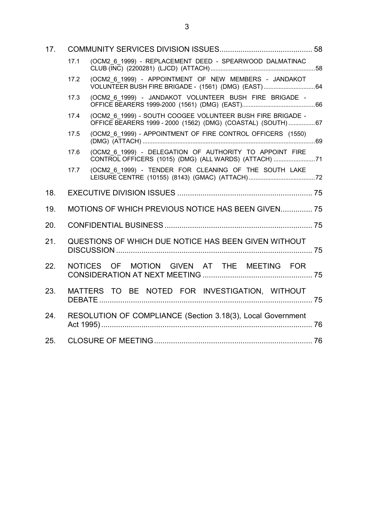| 17. |      |                                                                                                                            |  |  |  |  |
|-----|------|----------------------------------------------------------------------------------------------------------------------------|--|--|--|--|
|     | 17.1 | (OCM2_6_1999) - REPLACEMENT DEED - SPEARWOOD DALMATINAC                                                                    |  |  |  |  |
|     | 17.2 | (OCM2_6_1999) - APPOINTMENT OF NEW MEMBERS - JANDAKOT                                                                      |  |  |  |  |
|     | 17.3 | (OCM2 6 1999) - JANDAKOT VOLUNTEER BUSH FIRE BRIGADE -                                                                     |  |  |  |  |
|     | 17.4 | (OCM2_6_1999) - SOUTH COOGEE VOLUNTEER BUSH FIRE BRIGADE -<br>OFFICE BEARERS 1999 - 2000 (1562) (DMG) (COASTAL) (SOUTH) 67 |  |  |  |  |
|     | 17.5 | (OCM2 6 1999) - APPOINTMENT OF FIRE CONTROL OFFICERS (1550)                                                                |  |  |  |  |
|     | 17.6 | (OCM2 6 1999) - DELEGATION OF AUTHORITY TO APPOINT FIRE<br>CONTROL OFFICERS (1015) (DMG) (ALL WARDS) (ATTACH) 71           |  |  |  |  |
|     | 17.7 | (OCM2 6 1999) - TENDER FOR CLEANING OF THE SOUTH LAKE                                                                      |  |  |  |  |
| 18. |      |                                                                                                                            |  |  |  |  |
| 19. |      | MOTIONS OF WHICH PREVIOUS NOTICE HAS BEEN GIVEN 75                                                                         |  |  |  |  |
| 20. |      |                                                                                                                            |  |  |  |  |
| 21. |      | QUESTIONS OF WHICH DUE NOTICE HAS BEEN GIVEN WITHOUT                                                                       |  |  |  |  |
| 22. |      | NOTICES OF MOTION GIVEN AT THE MEETING FOR                                                                                 |  |  |  |  |
| 23. |      | MATTERS TO BE NOTED FOR INVESTIGATION, WITHOUT                                                                             |  |  |  |  |
| 24. |      | RESOLUTION OF COMPLIANCE (Section 3.18(3), Local Government                                                                |  |  |  |  |
| 25. |      |                                                                                                                            |  |  |  |  |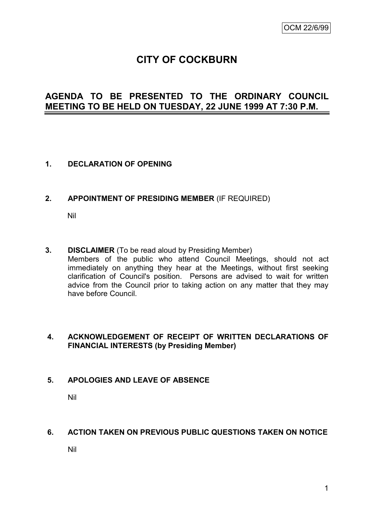# **CITY OF COCKBURN**

# **AGENDA TO BE PRESENTED TO THE ORDINARY COUNCIL MEETING TO BE HELD ON TUESDAY, 22 JUNE 1999 AT 7:30 P.M.**

#### **1. DECLARATION OF OPENING**

#### **2. APPOINTMENT OF PRESIDING MEMBER** (IF REQUIRED)

Nil

**3. DISCLAIMER** (To be read aloud by Presiding Member) Members of the public who attend Council Meetings, should not act immediately on anything they hear at the Meetings, without first seeking clarification of Council's position. Persons are advised to wait for written advice from the Council prior to taking action on any matter that they may have before Council.

#### **4. ACKNOWLEDGEMENT OF RECEIPT OF WRITTEN DECLARATIONS OF FINANCIAL INTERESTS (by Presiding Member)**

#### **5. APOLOGIES AND LEAVE OF ABSENCE**

Nil

### **6. ACTION TAKEN ON PREVIOUS PUBLIC QUESTIONS TAKEN ON NOTICE**

Nil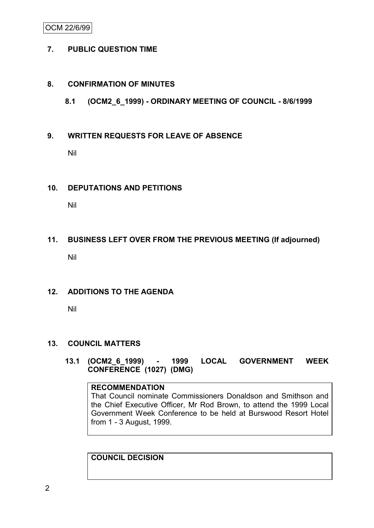### OCM 22/6/99

#### **7. PUBLIC QUESTION TIME**

#### **8. CONFIRMATION OF MINUTES**

#### **8.1 (OCM2\_6\_1999) - ORDINARY MEETING OF COUNCIL - 8/6/1999**

#### **9. WRITTEN REQUESTS FOR LEAVE OF ABSENCE**

Nil

#### **10. DEPUTATIONS AND PETITIONS**

Nil

## **11. BUSINESS LEFT OVER FROM THE PREVIOUS MEETING (If adjourned)**

Nil

#### **12. ADDITIONS TO THE AGENDA**

Nil

#### **13. COUNCIL MATTERS**

**13.1 (OCM2\_6\_1999) - 1999 LOCAL GOVERNMENT WEEK CONFERENCE (1027) (DMG)**

#### **RECOMMENDATION**

That Council nominate Commissioners Donaldson and Smithson and the Chief Executive Officer, Mr Rod Brown, to attend the 1999 Local Government Week Conference to be held at Burswood Resort Hotel from 1 - 3 August, 1999.

# **COUNCIL DECISION**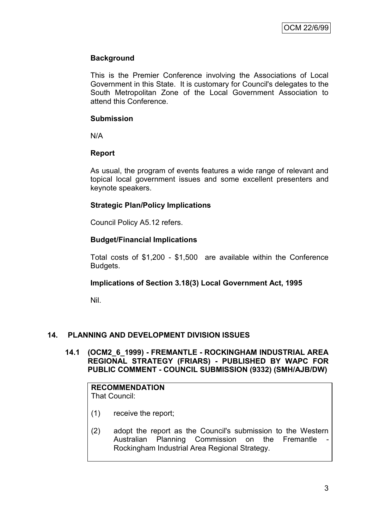### **Background**

This is the Premier Conference involving the Associations of Local Government in this State. It is customary for Council's delegates to the South Metropolitan Zone of the Local Government Association to attend this Conference.

#### **Submission**

N/A

#### **Report**

As usual, the program of events features a wide range of relevant and topical local government issues and some excellent presenters and keynote speakers.

## **Strategic Plan/Policy Implications**

Council Policy A5.12 refers.

#### **Budget/Financial Implications**

Total costs of \$1,200 - \$1,500 are available within the Conference Budgets.

## **Implications of Section 3.18(3) Local Government Act, 1995**

Nil.

## **14. PLANNING AND DEVELOPMENT DIVISION ISSUES**

#### **14.1 (OCM2\_6\_1999) - FREMANTLE - ROCKINGHAM INDUSTRIAL AREA REGIONAL STRATEGY (FRIARS) - PUBLISHED BY WAPC FOR PUBLIC COMMENT - COUNCIL SUBMISSION (9332) (SMH/AJB/DW)**

#### **RECOMMENDATION** That Council:

- (1) receive the report;
- (2) adopt the report as the Council's submission to the Western Australian Planning Commission on the Fremantle Rockingham Industrial Area Regional Strategy.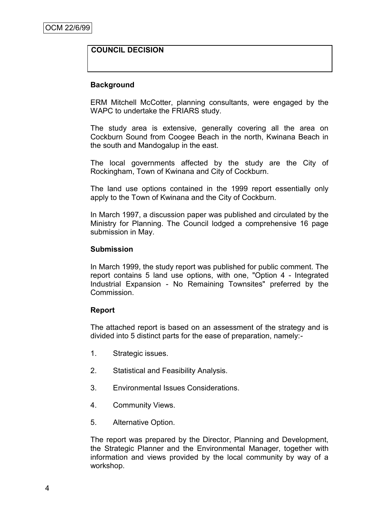### **COUNCIL DECISION**

#### **Background**

ERM Mitchell McCotter, planning consultants, were engaged by the WAPC to undertake the FRIARS study.

The study area is extensive, generally covering all the area on Cockburn Sound from Coogee Beach in the north, Kwinana Beach in the south and Mandogalup in the east.

The local governments affected by the study are the City of Rockingham, Town of Kwinana and City of Cockburn.

The land use options contained in the 1999 report essentially only apply to the Town of Kwinana and the City of Cockburn.

In March 1997, a discussion paper was published and circulated by the Ministry for Planning. The Council lodged a comprehensive 16 page submission in May.

#### **Submission**

In March 1999, the study report was published for public comment. The report contains 5 land use options, with one, "Option 4 - Integrated Industrial Expansion - No Remaining Townsites" preferred by the Commission.

#### **Report**

The attached report is based on an assessment of the strategy and is divided into 5 distinct parts for the ease of preparation, namely:-

- 1. Strategic issues.
- 2. Statistical and Feasibility Analysis.
- 3. Environmental Issues Considerations.
- 4. Community Views.
- 5. Alternative Option.

The report was prepared by the Director, Planning and Development, the Strategic Planner and the Environmental Manager, together with information and views provided by the local community by way of a workshop.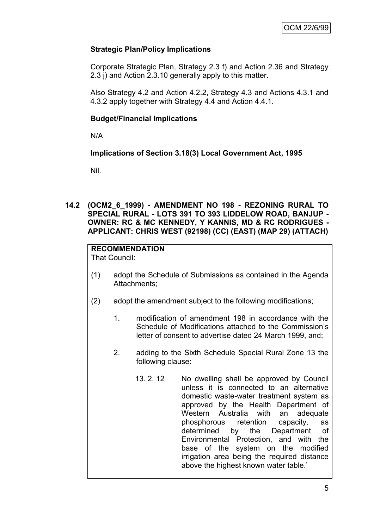### **Strategic Plan/Policy Implications**

Corporate Strategic Plan, Strategy 2.3 f) and Action 2.36 and Strategy 2.3 j) and Action 2.3.10 generally apply to this matter.

Also Strategy 4.2 and Action 4.2.2, Strategy 4.3 and Actions 4.3.1 and 4.3.2 apply together with Strategy 4.4 and Action 4.4.1.

#### **Budget/Financial Implications**

N/A

#### **Implications of Section 3.18(3) Local Government Act, 1995**

Nil.

#### **14.2 (OCM2\_6\_1999) - AMENDMENT NO 198 - REZONING RURAL TO SPECIAL RURAL - LOTS 391 TO 393 LIDDELOW ROAD, BANJUP - OWNER: RC & MC KENNEDY, Y KANNIS, MD & RC RODRIGUES - APPLICANT: CHRIS WEST (92198) (CC) (EAST) (MAP 29) (ATTACH)**

# **RECOMMENDATION**

That Council:

- (1) adopt the Schedule of Submissions as contained in the Agenda Attachments;
- (2) adopt the amendment subject to the following modifications;
	- 1. modification of amendment 198 in accordance with the Schedule of Modifications attached to the Commission's letter of consent to advertise dated 24 March 1999, and;
	- 2. adding to the Sixth Schedule Special Rural Zone 13 the following clause:
		- 13. 2. 12 No dwelling shall be approved by Council unless it is connected to an alternative domestic waste-water treatment system as approved by the Health Department of Western Australia with an adequate phosphorous retention capacity, as determined by the Department of Environmental Protection, and with the base of the system on the modified irrigation area being the required distance above the highest known water table.'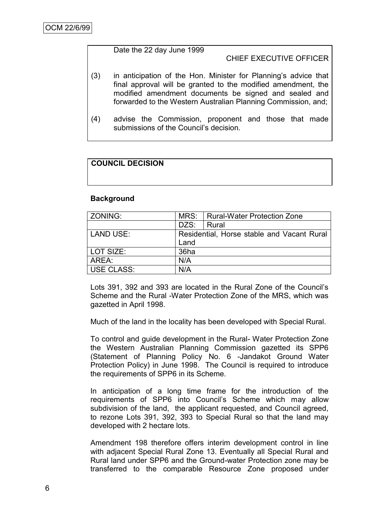#### Date the 22 day June 1999

### CHIEF EXECUTIVE OFFICER

- (3) in anticipation of the Hon. Minister for Planning's advice that final approval will be granted to the modified amendment, the modified amendment documents be signed and sealed and forwarded to the Western Australian Planning Commission, and;
- (4) advise the Commission, proponent and those that made submissions of the Council's decision.

# **COUNCIL DECISION**

#### **Background**

| ZONING:    | MRS: | Rural-Water Protection Zone                |  |  |
|------------|------|--------------------------------------------|--|--|
|            | DZS: | Rural                                      |  |  |
| LAND USE:  |      | Residential, Horse stable and Vacant Rural |  |  |
|            | Land |                                            |  |  |
| LOT SIZE:  | 36ha |                                            |  |  |
| AREA:      | N/A  |                                            |  |  |
| USE CLASS: | N/A  |                                            |  |  |

Lots 391, 392 and 393 are located in the Rural Zone of the Council's Scheme and the Rural -Water Protection Zone of the MRS, which was gazetted in April 1998.

Much of the land in the locality has been developed with Special Rural.

To control and guide development in the Rural- Water Protection Zone the Western Australian Planning Commission gazetted its SPP6 (Statement of Planning Policy No. 6 -Jandakot Ground Water Protection Policy) in June 1998. The Council is required to introduce the requirements of SPP6 in its Scheme.

In anticipation of a long time frame for the introduction of the requirements of SPP6 into Council's Scheme which may allow subdivision of the land, the applicant requested, and Council agreed, to rezone Lots 391, 392, 393 to Special Rural so that the land may developed with 2 hectare lots.

Amendment 198 therefore offers interim development control in line with adjacent Special Rural Zone 13. Eventually all Special Rural and Rural land under SPP6 and the Ground-water Protection zone may be transferred to the comparable Resource Zone proposed under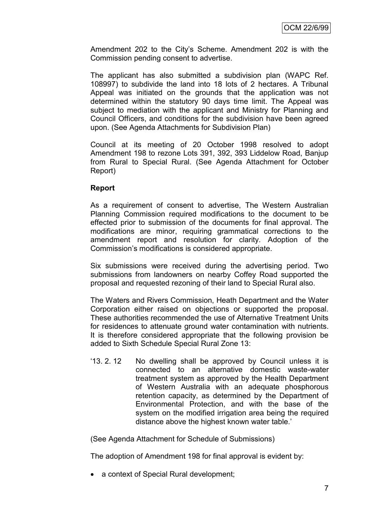Amendment 202 to the City's Scheme. Amendment 202 is with the Commission pending consent to advertise.

The applicant has also submitted a subdivision plan (WAPC Ref. 108997) to subdivide the land into 18 lots of 2 hectares. A Tribunal Appeal was initiated on the grounds that the application was not determined within the statutory 90 days time limit. The Appeal was subject to mediation with the applicant and Ministry for Planning and Council Officers, and conditions for the subdivision have been agreed upon. (See Agenda Attachments for Subdivision Plan)

Council at its meeting of 20 October 1998 resolved to adopt Amendment 198 to rezone Lots 391, 392, 393 Liddelow Road, Banjup from Rural to Special Rural. (See Agenda Attachment for October Report)

#### **Report**

As a requirement of consent to advertise, The Western Australian Planning Commission required modifications to the document to be effected prior to submission of the documents for final approval. The modifications are minor, requiring grammatical corrections to the amendment report and resolution for clarity. Adoption of the Commission's modifications is considered appropriate.

Six submissions were received during the advertising period. Two submissions from landowners on nearby Coffey Road supported the proposal and requested rezoning of their land to Special Rural also.

The Waters and Rivers Commission, Heath Department and the Water Corporation either raised on objections or supported the proposal. These authorities recommended the use of Alternative Treatment Units for residences to attenuate ground water contamination with nutrients. It is therefore considered appropriate that the following provision be added to Sixth Schedule Special Rural Zone 13:

'13. 2. 12 No dwelling shall be approved by Council unless it is connected to an alternative domestic waste-water treatment system as approved by the Health Department of Western Australia with an adequate phosphorous retention capacity, as determined by the Department of Environmental Protection, and with the base of the system on the modified irrigation area being the required distance above the highest known water table.'

(See Agenda Attachment for Schedule of Submissions)

The adoption of Amendment 198 for final approval is evident by:

a context of Special Rural development;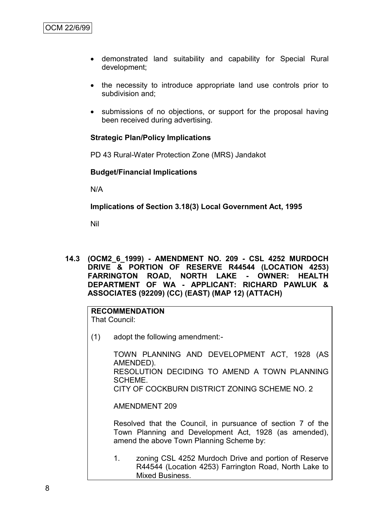- demonstrated land suitability and capability for Special Rural development;
- the necessity to introduce appropriate land use controls prior to subdivision and;
- submissions of no objections, or support for the proposal having been received during advertising.

#### **Strategic Plan/Policy Implications**

PD 43 Rural-Water Protection Zone (MRS) Jandakot

#### **Budget/Financial Implications**

N/A

**Implications of Section 3.18(3) Local Government Act, 1995**

Nil

**14.3 (OCM2\_6\_1999) - AMENDMENT NO. 209 - CSL 4252 MURDOCH DRIVE & PORTION OF RESERVE R44544 (LOCATION 4253) FARRINGTON ROAD, NORTH LAKE - OWNER: HEALTH DEPARTMENT OF WA - APPLICANT: RICHARD PAWLUK & ASSOCIATES (92209) (CC) (EAST) (MAP 12) (ATTACH)**

# **RECOMMENDATION**

That Council:

(1) adopt the following amendment:-

TOWN PLANNING AND DEVELOPMENT ACT, 1928 (AS AMENDED). RESOLUTION DECIDING TO AMEND A TOWN PLANNING SCHEME. CITY OF COCKBURN DISTRICT ZONING SCHEME NO. 2

AMENDMENT 209

Resolved that the Council, in pursuance of section 7 of the Town Planning and Development Act, 1928 (as amended), amend the above Town Planning Scheme by:

1. zoning CSL 4252 Murdoch Drive and portion of Reserve R44544 (Location 4253) Farrington Road, North Lake to Mixed Business.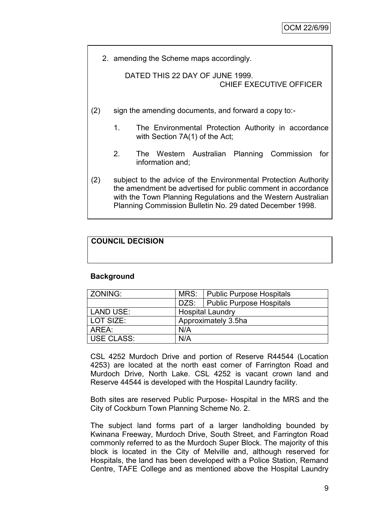2. amending the Scheme maps accordingly.

DATED THIS 22 DAY OF JUNE 1999. CHIEF EXECUTIVE OFFICER

- (2) sign the amending documents, and forward a copy to:-
	- 1. The Environmental Protection Authority in accordance with Section 7A(1) of the Act;
	- 2. The Western Australian Planning Commission for information and;
- (2) subject to the advice of the Environmental Protection Authority the amendment be advertised for public comment in accordance with the Town Planning Regulations and the Western Australian Planning Commission Bulletin No. 29 dated December 1998.

# **COUNCIL DECISION**

#### **Background**

| ZONING:           |                         | MRS:   Public Purpose Hospitals |  |
|-------------------|-------------------------|---------------------------------|--|
|                   |                         | DZS: Public Purpose Hospitals   |  |
| <b>LAND USE:</b>  | <b>Hospital Laundry</b> |                                 |  |
| LOT SIZE:         | Approximately 3.5ha     |                                 |  |
| AREA:             | N/A                     |                                 |  |
| <b>USE CLASS:</b> | N/A                     |                                 |  |

CSL 4252 Murdoch Drive and portion of Reserve R44544 (Location 4253) are located at the north east corner of Farrington Road and Murdoch Drive, North Lake. CSL 4252 is vacant crown land and Reserve 44544 is developed with the Hospital Laundry facility.

Both sites are reserved Public Purpose- Hospital in the MRS and the City of Cockburn Town Planning Scheme No. 2.

The subject land forms part of a larger landholding bounded by Kwinana Freeway, Murdoch Drive, South Street, and Farrington Road commonly referred to as the Murdoch Super Block. The majority of this block is located in the City of Melville and, although reserved for Hospitals, the land has been developed with a Police Station, Remand Centre, TAFE College and as mentioned above the Hospital Laundry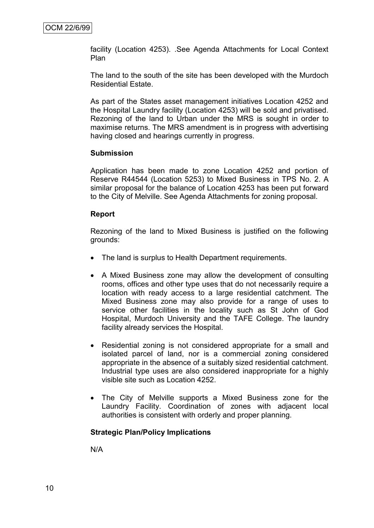facility (Location 4253). .See Agenda Attachments for Local Context Plan

The land to the south of the site has been developed with the Murdoch Residential Estate.

As part of the States asset management initiatives Location 4252 and the Hospital Laundry facility (Location 4253) will be sold and privatised. Rezoning of the land to Urban under the MRS is sought in order to maximise returns. The MRS amendment is in progress with advertising having closed and hearings currently in progress.

#### **Submission**

Application has been made to zone Location 4252 and portion of Reserve R44544 (Location 5253) to Mixed Business in TPS No. 2. A similar proposal for the balance of Location 4253 has been put forward to the City of Melville. See Agenda Attachments for zoning proposal.

#### **Report**

Rezoning of the land to Mixed Business is justified on the following grounds:

- The land is surplus to Health Department requirements.
- A Mixed Business zone may allow the development of consulting rooms, offices and other type uses that do not necessarily require a location with ready access to a large residential catchment. The Mixed Business zone may also provide for a range of uses to service other facilities in the locality such as St John of God Hospital, Murdoch University and the TAFE College. The laundry facility already services the Hospital.
- Residential zoning is not considered appropriate for a small and isolated parcel of land, nor is a commercial zoning considered appropriate in the absence of a suitably sized residential catchment. Industrial type uses are also considered inappropriate for a highly visible site such as Location 4252.
- The City of Melville supports a Mixed Business zone for the Laundry Facility. Coordination of zones with adjacent local authorities is consistent with orderly and proper planning.

#### **Strategic Plan/Policy Implications**

N/A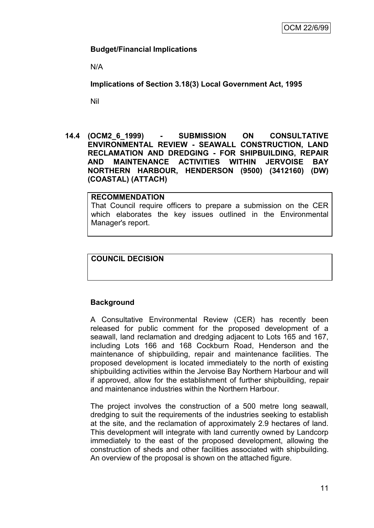#### **Budget/Financial Implications**

N/A

**Implications of Section 3.18(3) Local Government Act, 1995**

Nil

#### **14.4 (OCM2\_6\_1999) - SUBMISSION ON CONSULTATIVE ENVIRONMENTAL REVIEW - SEAWALL CONSTRUCTION, LAND RECLAMATION AND DREDGING - FOR SHIPBUILDING, REPAIR AND MAINTENANCE ACTIVITIES WITHIN JERVOISE BAY NORTHERN HARBOUR, HENDERSON (9500) (3412160) (DW) (COASTAL) (ATTACH)**

**RECOMMENDATION** That Council require officers to prepare a submission on the CER which elaborates the key issues outlined in the Environmental Manager's report.

#### **COUNCIL DECISION**

## **Background**

A Consultative Environmental Review (CER) has recently been released for public comment for the proposed development of a seawall, land reclamation and dredging adjacent to Lots 165 and 167, including Lots 166 and 168 Cockburn Road, Henderson and the maintenance of shipbuilding, repair and maintenance facilities. The proposed development is located immediately to the north of existing shipbuilding activities within the Jervoise Bay Northern Harbour and will if approved, allow for the establishment of further shipbuilding, repair and maintenance industries within the Northern Harbour.

The project involves the construction of a 500 metre long seawall, dredging to suit the requirements of the industries seeking to establish at the site, and the reclamation of approximately 2.9 hectares of land. This development will integrate with land currently owned by Landcorp immediately to the east of the proposed development, allowing the construction of sheds and other facilities associated with shipbuilding. An overview of the proposal is shown on the attached figure.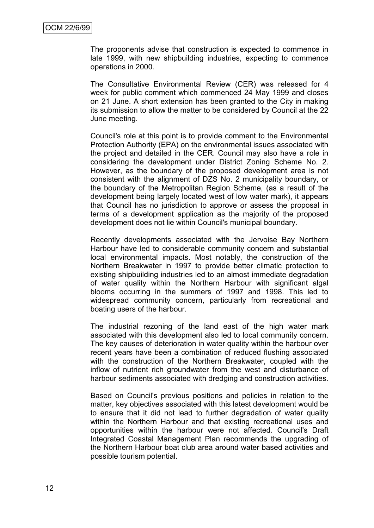The proponents advise that construction is expected to commence in late 1999, with new shipbuilding industries, expecting to commence operations in 2000.

The Consultative Environmental Review (CER) was released for 4 week for public comment which commenced 24 May 1999 and closes on 21 June. A short extension has been granted to the City in making its submission to allow the matter to be considered by Council at the 22 June meeting.

Council's role at this point is to provide comment to the Environmental Protection Authority (EPA) on the environmental issues associated with the project and detailed in the CER. Council may also have a role in considering the development under District Zoning Scheme No. 2. However, as the boundary of the proposed development area is not consistent with the alignment of DZS No. 2 municipality boundary, or the boundary of the Metropolitan Region Scheme, (as a result of the development being largely located west of low water mark), it appears that Council has no jurisdiction to approve or assess the proposal in terms of a development application as the majority of the proposed development does not lie within Council's municipal boundary.

Recently developments associated with the Jervoise Bay Northern Harbour have led to considerable community concern and substantial local environmental impacts. Most notably, the construction of the Northern Breakwater in 1997 to provide better climatic protection to existing shipbuilding industries led to an almost immediate degradation of water quality within the Northern Harbour with significant algal blooms occurring in the summers of 1997 and 1998. This led to widespread community concern, particularly from recreational and boating users of the harbour.

The industrial rezoning of the land east of the high water mark associated with this development also led to local community concern. The key causes of deterioration in water quality within the harbour over recent years have been a combination of reduced flushing associated with the construction of the Northern Breakwater, coupled with the inflow of nutrient rich groundwater from the west and disturbance of harbour sediments associated with dredging and construction activities.

Based on Council's previous positions and policies in relation to the matter, key objectives associated with this latest development would be to ensure that it did not lead to further degradation of water quality within the Northern Harbour and that existing recreational uses and opportunities within the harbour were not affected. Council's Draft Integrated Coastal Management Plan recommends the upgrading of the Northern Harbour boat club area around water based activities and possible tourism potential.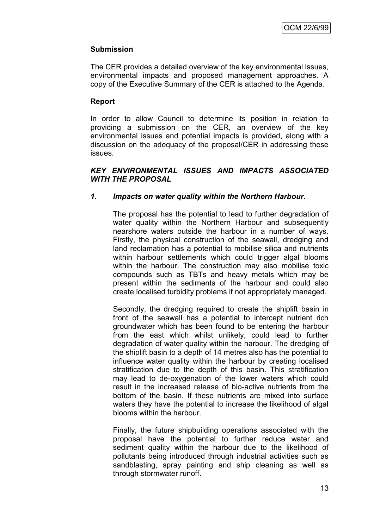### **Submission**

The CER provides a detailed overview of the key environmental issues, environmental impacts and proposed management approaches. A copy of the Executive Summary of the CER is attached to the Agenda.

#### **Report**

In order to allow Council to determine its position in relation to providing a submission on the CER, an overview of the key environmental issues and potential impacts is provided, along with a discussion on the adequacy of the proposal/CER in addressing these issues.

#### *KEY ENVIRONMENTAL ISSUES AND IMPACTS ASSOCIATED WITH THE PROPOSAL*

#### *1. Impacts on water quality within the Northern Harbour.*

The proposal has the potential to lead to further degradation of water quality within the Northern Harbour and subsequently nearshore waters outside the harbour in a number of ways. Firstly, the physical construction of the seawall, dredging and land reclamation has a potential to mobilise silica and nutrients within harbour settlements which could trigger algal blooms within the harbour. The construction may also mobilise toxic compounds such as TBTs and heavy metals which may be present within the sediments of the harbour and could also create localised turbidity problems if not appropriately managed.

Secondly, the dredging required to create the shiplift basin in front of the seawall has a potential to intercept nutrient rich groundwater which has been found to be entering the harbour from the east which whilst unlikely, could lead to further degradation of water quality within the harbour. The dredging of the shiplift basin to a depth of 14 metres also has the potential to influence water quality within the harbour by creating localised stratification due to the depth of this basin. This stratification may lead to de-oxygenation of the lower waters which could result in the increased release of bio-active nutrients from the bottom of the basin. If these nutrients are mixed into surface waters they have the potential to increase the likelihood of algal blooms within the harbour.

Finally, the future shipbuilding operations associated with the proposal have the potential to further reduce water and sediment quality within the harbour due to the likelihood of pollutants being introduced through industrial activities such as sandblasting, spray painting and ship cleaning as well as through stormwater runoff.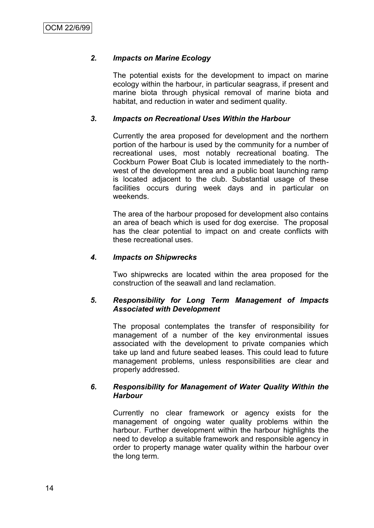### *2. Impacts on Marine Ecology*

The potential exists for the development to impact on marine ecology within the harbour, in particular seagrass, if present and marine biota through physical removal of marine biota and habitat, and reduction in water and sediment quality.

#### *3. Impacts on Recreational Uses Within the Harbour*

Currently the area proposed for development and the northern portion of the harbour is used by the community for a number of recreational uses, most notably recreational boating. The Cockburn Power Boat Club is located immediately to the northwest of the development area and a public boat launching ramp is located adjacent to the club. Substantial usage of these facilities occurs during week days and in particular on weekends.

The area of the harbour proposed for development also contains an area of beach which is used for dog exercise. The proposal has the clear potential to impact on and create conflicts with these recreational uses.

#### *4. Impacts on Shipwrecks*

Two shipwrecks are located within the area proposed for the construction of the seawall and land reclamation.

#### *5. Responsibility for Long Term Management of Impacts Associated with Development*

The proposal contemplates the transfer of responsibility for management of a number of the key environmental issues associated with the development to private companies which take up land and future seabed leases. This could lead to future management problems, unless responsibilities are clear and properly addressed.

#### *6. Responsibility for Management of Water Quality Within the Harbour*

Currently no clear framework or agency exists for the management of ongoing water quality problems within the harbour. Further development within the harbour highlights the need to develop a suitable framework and responsible agency in order to property manage water quality within the harbour over the long term.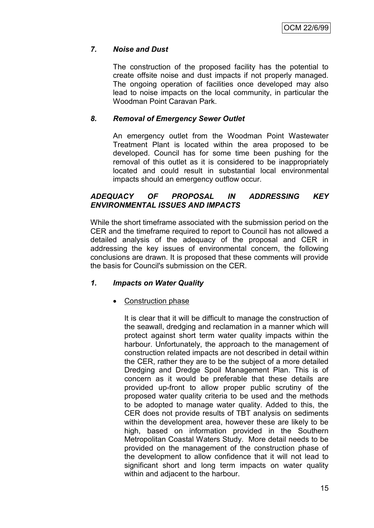# *7. Noise and Dust*

The construction of the proposed facility has the potential to create offsite noise and dust impacts if not properly managed. The ongoing operation of facilities once developed may also lead to noise impacts on the local community, in particular the Woodman Point Caravan Park.

# *8. Removal of Emergency Sewer Outlet*

An emergency outlet from the Woodman Point Wastewater Treatment Plant is located within the area proposed to be developed. Council has for some time been pushing for the removal of this outlet as it is considered to be inappropriately located and could result in substantial local environmental impacts should an emergency outflow occur.

## *ADEQUACY OF PROPOSAL IN ADDRESSING KEY ENVIRONMENTAL ISSUES AND IMPACTS*

While the short timeframe associated with the submission period on the CER and the timeframe required to report to Council has not allowed a detailed analysis of the adequacy of the proposal and CER in addressing the key issues of environmental concern, the following conclusions are drawn. It is proposed that these comments will provide the basis for Council's submission on the CER.

## *1. Impacts on Water Quality*

## Construction phase

It is clear that it will be difficult to manage the construction of the seawall, dredging and reclamation in a manner which will protect against short term water quality impacts within the harbour. Unfortunately, the approach to the management of construction related impacts are not described in detail within the CER, rather they are to be the subject of a more detailed Dredging and Dredge Spoil Management Plan. This is of concern as it would be preferable that these details are provided up-front to allow proper public scrutiny of the proposed water quality criteria to be used and the methods to be adopted to manage water quality. Added to this, the CER does not provide results of TBT analysis on sediments within the development area, however these are likely to be high, based on information provided in the Southern Metropolitan Coastal Waters Study. More detail needs to be provided on the management of the construction phase of the development to allow confidence that it will not lead to significant short and long term impacts on water quality within and adjacent to the harbour.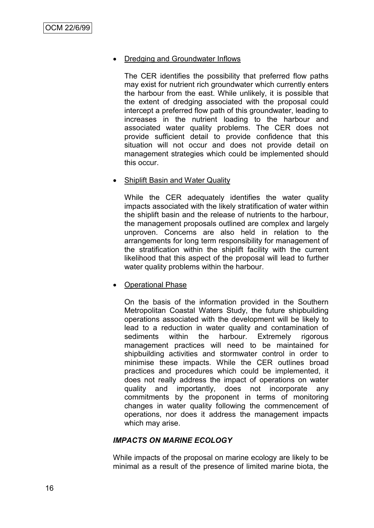#### Dredging and Groundwater Inflows

The CER identifies the possibility that preferred flow paths may exist for nutrient rich groundwater which currently enters the harbour from the east. While unlikely, it is possible that the extent of dredging associated with the proposal could intercept a preferred flow path of this groundwater, leading to increases in the nutrient loading to the harbour and associated water quality problems. The CER does not provide sufficient detail to provide confidence that this situation will not occur and does not provide detail on management strategies which could be implemented should this occur.

#### **Shiplift Basin and Water Quality**

While the CER adequately identifies the water quality impacts associated with the likely stratification of water within the shiplift basin and the release of nutrients to the harbour, the management proposals outlined are complex and largely unproven. Concerns are also held in relation to the arrangements for long term responsibility for management of the stratification within the shiplift facility with the current likelihood that this aspect of the proposal will lead to further water quality problems within the harbour.

#### Operational Phase

On the basis of the information provided in the Southern Metropolitan Coastal Waters Study, the future shipbuilding operations associated with the development will be likely to lead to a reduction in water quality and contamination of sediments within the harbour. Extremely rigorous management practices will need to be maintained for shipbuilding activities and stormwater control in order to minimise these impacts. While the CER outlines broad practices and procedures which could be implemented, it does not really address the impact of operations on water quality and importantly, does not incorporate any commitments by the proponent in terms of monitoring changes in water quality following the commencement of operations, nor does it address the management impacts which may arise.

#### *IMPACTS ON MARINE ECOLOGY*

While impacts of the proposal on marine ecology are likely to be minimal as a result of the presence of limited marine biota, the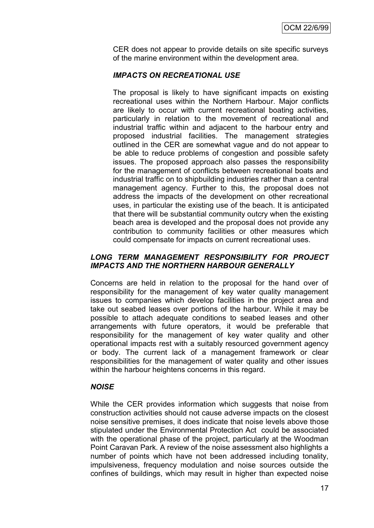CER does not appear to provide details on site specific surveys of the marine environment within the development area.

#### *IMPACTS ON RECREATIONAL USE*

The proposal is likely to have significant impacts on existing recreational uses within the Northern Harbour. Major conflicts are likely to occur with current recreational boating activities, particularly in relation to the movement of recreational and industrial traffic within and adjacent to the harbour entry and proposed industrial facilities. The management strategies outlined in the CER are somewhat vague and do not appear to be able to reduce problems of congestion and possible safety issues. The proposed approach also passes the responsibility for the management of conflicts between recreational boats and industrial traffic on to shipbuilding industries rather than a central management agency. Further to this, the proposal does not address the impacts of the development on other recreational uses, in particular the existing use of the beach. It is anticipated that there will be substantial community outcry when the existing beach area is developed and the proposal does not provide any contribution to community facilities or other measures which could compensate for impacts on current recreational uses.

#### *LONG TERM MANAGEMENT RESPONSIBILITY FOR PROJECT IMPACTS AND THE NORTHERN HARBOUR GENERALLY*

Concerns are held in relation to the proposal for the hand over of responsibility for the management of key water quality management issues to companies which develop facilities in the project area and take out seabed leases over portions of the harbour. While it may be possible to attach adequate conditions to seabed leases and other arrangements with future operators, it would be preferable that responsibility for the management of key water quality and other operational impacts rest with a suitably resourced government agency or body. The current lack of a management framework or clear responsibilities for the management of water quality and other issues within the harbour heightens concerns in this regard.

#### *NOISE*

While the CER provides information which suggests that noise from construction activities should not cause adverse impacts on the closest noise sensitive premises, it does indicate that noise levels above those stipulated under the Environmental Protection Act could be associated with the operational phase of the project, particularly at the Woodman Point Caravan Park. A review of the noise assessment also highlights a number of points which have not been addressed including tonality, impulsiveness, frequency modulation and noise sources outside the confines of buildings, which may result in higher than expected noise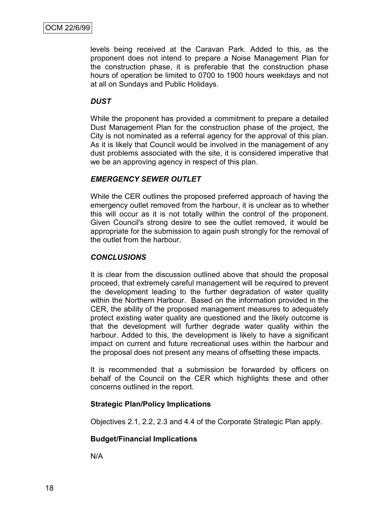levels being received at the Caravan Park. Added to this, as the proponent does not intend to prepare a Noise Management Plan for the construction phase, it is preferable that the construction phase hours of operation be limited to 0700 to 1900 hours weekdays and not at all on Sundays and Public Holidays.

#### *DUST*

While the proponent has provided a commitment to prepare a detailed Dust Management Plan for the construction phase of the project, the City is not nominated as a referral agency for the approval of this plan. As it is likely that Council would be involved in the management of any dust problems associated with the site, it is considered imperative that we be an approving agency in respect of this plan.

#### *EMERGENCY SEWER OUTLET*

While the CER outlines the proposed preferred approach of having the emergency outlet removed from the harbour, it is unclear as to whether this will occur as it is not totally within the control of the proponent. Given Council's strong desire to see the outlet removed, it would be appropriate for the submission to again push strongly for the removal of the outlet from the harbour.

#### *CONCLUSIONS*

It is clear from the discussion outlined above that should the proposal proceed, that extremely careful management will be required to prevent the development leading to the further degradation of water quality within the Northern Harbour. Based on the information provided in the CER, the ability of the proposed management measures to adequately protect existing water quality are questioned and the likely outcome is that the development will further degrade water quality within the harbour. Added to this, the development is likely to have a significant impact on current and future recreational uses within the harbour and the proposal does not present any means of offsetting these impacts.

It is recommended that a submission be forwarded by officers on behalf of the Council on the CER which highlights these and other concerns outlined in the report.

## **Strategic Plan/Policy Implications**

Objectives 2.1, 2.2, 2.3 and 4.4 of the Corporate Strategic Plan apply.

#### **Budget/Financial Implications**

N/A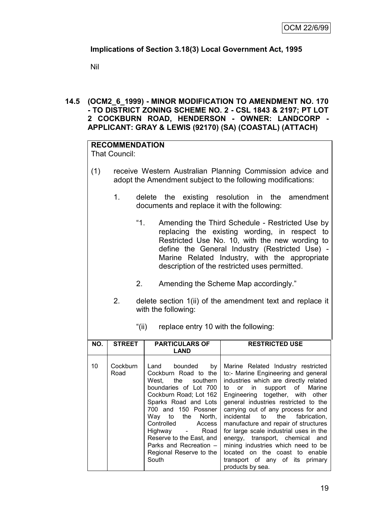# **Implications of Section 3.18(3) Local Government Act, 1995**

Nil

#### **14.5 (OCM2\_6\_1999) - MINOR MODIFICATION TO AMENDMENT NO. 170 - TO DISTRICT ZONING SCHEME NO. 2 - CSL 1843 & 2197; PT LOT 2 COCKBURN ROAD, HENDERSON - OWNER: LANDCORP - APPLICANT: GRAY & LEWIS (92170) (SA) (COASTAL) (ATTACH)**

# **RECOMMENDATION**

That Council:

- (1) receive Western Australian Planning Commission advice and adopt the Amendment subject to the following modifications:
	- 1. delete the existing resolution in the amendment documents and replace it with the following:
		- "1. Amending the Third Schedule Restricted Use by replacing the existing wording, in respect to Restricted Use No. 10, with the new wording to define the General Industry (Restricted Use) - Marine Related Industry, with the appropriate description of the restricted uses permitted.
		- 2. Amending the Scheme Map accordingly."
	- 2. delete section 1(ii) of the amendment text and replace it with the following:

| NO. | <b>STREET</b>    | <b>PARTICULARS OF</b><br>LAND                                                                                                                                                                                                                                                                                         | <b>RESTRICTED USE</b>                                                                                                                                                                                                                                                                                                                                                                                                                                                                                                                                        |
|-----|------------------|-----------------------------------------------------------------------------------------------------------------------------------------------------------------------------------------------------------------------------------------------------------------------------------------------------------------------|--------------------------------------------------------------------------------------------------------------------------------------------------------------------------------------------------------------------------------------------------------------------------------------------------------------------------------------------------------------------------------------------------------------------------------------------------------------------------------------------------------------------------------------------------------------|
| 10  | Cockburn<br>Road | Land bounded by<br>Cockburn Road to the<br>West, the southern<br>boundaries of Lot 700<br>Cockburn Road; Lot 162<br>Sparks Road and Lots<br>700 and 150 Possner<br>Way to the North,<br>Controlled Access<br>Highway - Road<br>Reserve to the East, and<br>Parks and Recreation -<br>Regional Reserve to the<br>South | Marine Related Industry restricted<br>to:- Marine Engineering and general<br>industries which are directly related<br>to or in<br>support of Marine<br>Engineering together, with other<br>general industries restricted to the<br>carrying out of any process for and<br>incidental to the fabrication,<br>manufacture and repair of structures<br>for large scale industrial uses in the<br>energy, transport, chemical and<br>mining industries which need to be<br>located on the coast to enable<br>transport of any of its primary<br>products by sea. |

"(ii) replace entry 10 with the following: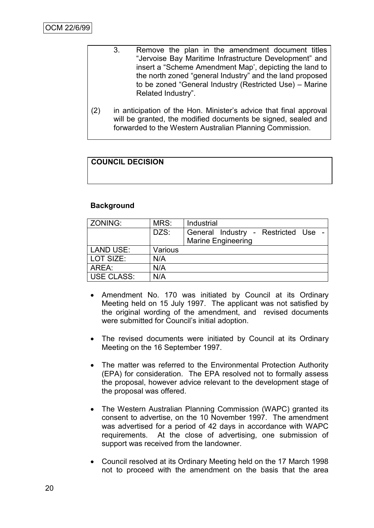- 3. Remove the plan in the amendment document titles "Jervoise Bay Maritime Infrastructure Development" and insert a "Scheme Amendment Map', depicting the land to the north zoned "general Industry" and the land proposed to be zoned "General Industry (Restricted Use) – Marine Related Industry".
- (2) in anticipation of the Hon. Minister's advice that final approval will be granted, the modified documents be signed, sealed and forwarded to the Western Australian Planning Commission.

# **COUNCIL DECISION**

#### **Background**

| ZONING:    | MRS:    | Industrial                                                       |
|------------|---------|------------------------------------------------------------------|
|            | DZS:    | General Industry - Restricted Use -<br><b>Marine Engineering</b> |
| LAND USE:  | Various |                                                                  |
| LOT SIZE:  | N/A     |                                                                  |
| AREA:      | N/A     |                                                                  |
| USE CLASS: | N/A     |                                                                  |

- Amendment No. 170 was initiated by Council at its Ordinary Meeting held on 15 July 1997. The applicant was not satisfied by the original wording of the amendment, and revised documents were submitted for Council's initial adoption.
- The revised documents were initiated by Council at its Ordinary Meeting on the 16 September 1997.
- The matter was referred to the Environmental Protection Authority (EPA) for consideration. The EPA resolved not to formally assess the proposal, however advice relevant to the development stage of the proposal was offered.
- The Western Australian Planning Commission (WAPC) granted its consent to advertise, on the 10 November 1997. The amendment was advertised for a period of 42 days in accordance with WAPC requirements. At the close of advertising, one submission of support was received from the landowner.
- Council resolved at its Ordinary Meeting held on the 17 March 1998 not to proceed with the amendment on the basis that the area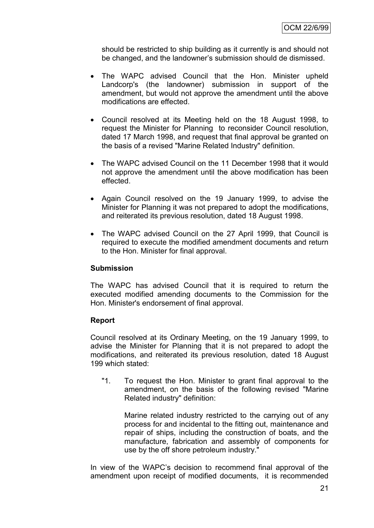should be restricted to ship building as it currently is and should not be changed, and the landowner's submission should de dismissed.

- The WAPC advised Council that the Hon. Minister upheld Landcorp's (the landowner) submission in support of the amendment, but would not approve the amendment until the above modifications are effected.
- Council resolved at its Meeting held on the 18 August 1998, to request the Minister for Planning to reconsider Council resolution, dated 17 March 1998, and request that final approval be granted on the basis of a revised "Marine Related Industry" definition.
- The WAPC advised Council on the 11 December 1998 that it would not approve the amendment until the above modification has been effected.
- Again Council resolved on the 19 January 1999, to advise the Minister for Planning it was not prepared to adopt the modifications, and reiterated its previous resolution, dated 18 August 1998.
- The WAPC advised Council on the 27 April 1999, that Council is required to execute the modified amendment documents and return to the Hon. Minister for final approval.

#### **Submission**

The WAPC has advised Council that it is required to return the executed modified amending documents to the Commission for the Hon. Minister's endorsement of final approval.

#### **Report**

Council resolved at its Ordinary Meeting, on the 19 January 1999, to advise the Minister for Planning that it is not prepared to adopt the modifications, and reiterated its previous resolution, dated 18 August 199 which stated:

"1. To request the Hon. Minister to grant final approval to the amendment, on the basis of the following revised "Marine Related industry" definition:

Marine related industry restricted to the carrying out of any process for and incidental to the fitting out, maintenance and repair of ships, including the construction of boats, and the manufacture, fabrication and assembly of components for use by the off shore petroleum industry."

In view of the WAPC's decision to recommend final approval of the amendment upon receipt of modified documents, it is recommended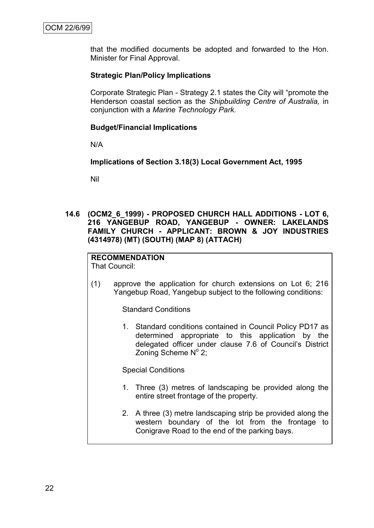that the modified documents be adopted and forwarded to the Hon. Minister for Final Approval.

#### **Strategic Plan/Policy Implications**

Corporate Strategic Plan - Strategy 2.1 states the City will "promote the Henderson coastal section as the *Shipbuilding Centre of Australia,* in conjunction with a *Marine Technology Park.*

#### **Budget/Financial Implications**

N/A

**Implications of Section 3.18(3) Local Government Act, 1995**

Nil

**14.6 (OCM2\_6\_1999) - PROPOSED CHURCH HALL ADDITIONS - LOT 6, 216 YANGEBUP ROAD, YANGEBUP - OWNER: LAKELANDS FAMILY CHURCH - APPLICANT: BROWN & JOY INDUSTRIES (4314978) (MT) (SOUTH) (MAP 8) (ATTACH)**

**RECOMMENDATION** That Council:

(1) approve the application for church extensions on Lot 6; 216 Yangebup Road, Yangebup subject to the following conditions:

Standard Conditions

1. Standard conditions contained in Council Policy PD17 as determined appropriate to this application by the delegated officer under clause 7.6 of Council's District Zoning Scheme  $N^{\circ}$  2;

Special Conditions

- 1. Three (3) metres of landscaping be provided along the entire street frontage of the property.
- 2. A three (3) metre landscaping strip be provided along the western boundary of the lot from the frontage to Conigrave Road to the end of the parking bays.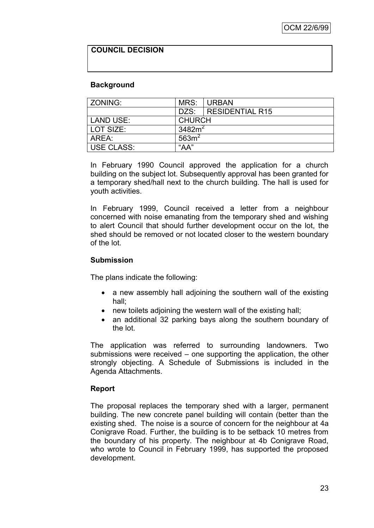### **COUNCIL DECISION**

#### **Background**

| ZONING:                    | MRS:          | I URBAN                |
|----------------------------|---------------|------------------------|
|                            |               | DZS:   RESIDENTIAL R15 |
| LAND USE:                  | <b>CHURCH</b> |                        |
| LOT SIZE:                  | 3482 $m2$     |                        |
| 563m <sup>2</sup><br>AREA: |               |                        |
| USE CLASS:                 | "AA"          |                        |

In February 1990 Council approved the application for a church building on the subject lot. Subsequently approval has been granted for a temporary shed/hall next to the church building. The hall is used for youth activities.

In February 1999, Council received a letter from a neighbour concerned with noise emanating from the temporary shed and wishing to alert Council that should further development occur on the lot, the shed should be removed or not located closer to the western boundary of the lot.

#### **Submission**

The plans indicate the following:

- a new assembly hall adjoining the southern wall of the existing hall;
- new toilets adjoining the western wall of the existing hall;
- an additional 32 parking bays along the southern boundary of the lot.

The application was referred to surrounding landowners. Two submissions were received – one supporting the application, the other strongly objecting. A Schedule of Submissions is included in the Agenda Attachments.

#### **Report**

The proposal replaces the temporary shed with a larger, permanent building. The new concrete panel building will contain (better than the existing shed. The noise is a source of concern for the neighbour at 4a Conigrave Road. Further, the building is to be setback 10 metres from the boundary of his property. The neighbour at 4b Conigrave Road, who wrote to Council in February 1999, has supported the proposed development.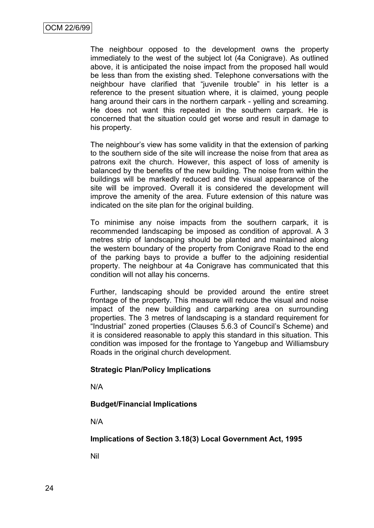The neighbour opposed to the development owns the property immediately to the west of the subject lot (4a Conigrave). As outlined above, it is anticipated the noise impact from the proposed hall would be less than from the existing shed. Telephone conversations with the neighbour have clarified that "juvenile trouble" in his letter is a reference to the present situation where, it is claimed, young people hang around their cars in the northern carpark - yelling and screaming. He does not want this repeated in the southern carpark. He is concerned that the situation could get worse and result in damage to his property.

The neighbour's view has some validity in that the extension of parking to the southern side of the site will increase the noise from that area as patrons exit the church. However, this aspect of loss of amenity is balanced by the benefits of the new building. The noise from within the buildings will be markedly reduced and the visual appearance of the site will be improved. Overall it is considered the development will improve the amenity of the area. Future extension of this nature was indicated on the site plan for the original building.

To minimise any noise impacts from the southern carpark, it is recommended landscaping be imposed as condition of approval. A 3 metres strip of landscaping should be planted and maintained along the western boundary of the property from Conigrave Road to the end of the parking bays to provide a buffer to the adjoining residential property. The neighbour at 4a Conigrave has communicated that this condition will not allay his concerns.

Further, landscaping should be provided around the entire street frontage of the property. This measure will reduce the visual and noise impact of the new building and carparking area on surrounding properties. The 3 metres of landscaping is a standard requirement for "Industrial" zoned properties (Clauses 5.6.3 of Council's Scheme) and it is considered reasonable to apply this standard in this situation. This condition was imposed for the frontage to Yangebup and Williamsbury Roads in the original church development.

#### **Strategic Plan/Policy Implications**

N/A

#### **Budget/Financial Implications**

N/A

#### **Implications of Section 3.18(3) Local Government Act, 1995**

Nil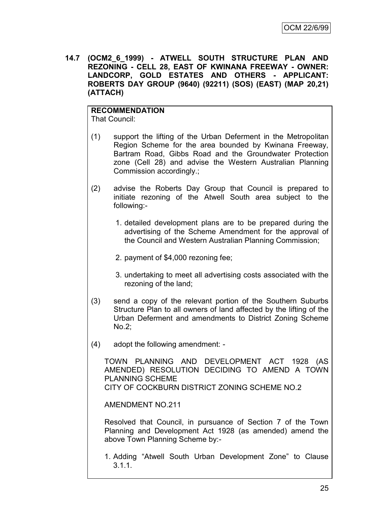**14.7 (OCM2\_6\_1999) - ATWELL SOUTH STRUCTURE PLAN AND REZONING - CELL 28, EAST OF KWINANA FREEWAY - OWNER: LANDCORP, GOLD ESTATES AND OTHERS - APPLICANT: ROBERTS DAY GROUP (9640) (92211) (SOS) (EAST) (MAP 20,21) (ATTACH)**

#### **RECOMMENDATION** That Council:

- (1) support the lifting of the Urban Deferment in the Metropolitan Region Scheme for the area bounded by Kwinana Freeway, Bartram Road, Gibbs Road and the Groundwater Protection zone (Cell 28) and advise the Western Australian Planning Commission accordingly.;
- (2) advise the Roberts Day Group that Council is prepared to initiate rezoning of the Atwell South area subject to the following:-
	- 1. detailed development plans are to be prepared during the advertising of the Scheme Amendment for the approval of the Council and Western Australian Planning Commission;
	- 2. payment of \$4,000 rezoning fee;
	- 3. undertaking to meet all advertising costs associated with the rezoning of the land;
- (3) send a copy of the relevant portion of the Southern Suburbs Structure Plan to all owners of land affected by the lifting of the Urban Deferment and amendments to District Zoning Scheme No.2;
- (4) adopt the following amendment: -

TOWN PLANNING AND DEVELOPMENT ACT 1928 (AS AMENDED) RESOLUTION DECIDING TO AMEND A TOWN PLANNING SCHEME CITY OF COCKBURN DISTRICT ZONING SCHEME NO.2

AMENDMENT NO.211

Resolved that Council, in pursuance of Section 7 of the Town Planning and Development Act 1928 (as amended) amend the above Town Planning Scheme by:-

1. Adding "Atwell South Urban Development Zone" to Clause 3.1.1.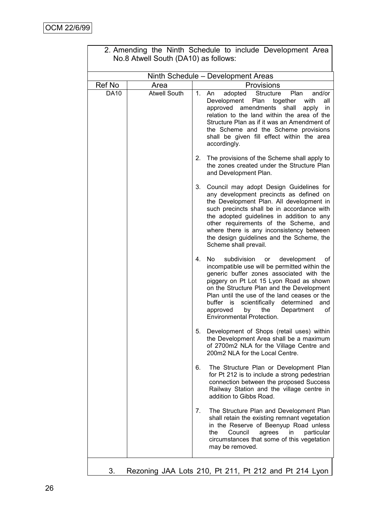| 2. Amending the Ninth Schedule to include Development Area<br>No.8 Atwell South (DA10) as follows: |                                    |    |                                                                                                                                                                                                                                                                                                                                                                                                                  |  |  |
|----------------------------------------------------------------------------------------------------|------------------------------------|----|------------------------------------------------------------------------------------------------------------------------------------------------------------------------------------------------------------------------------------------------------------------------------------------------------------------------------------------------------------------------------------------------------------------|--|--|
|                                                                                                    | Ninth Schedule - Development Areas |    |                                                                                                                                                                                                                                                                                                                                                                                                                  |  |  |
| Ref No                                                                                             | Area                               |    | Provisions                                                                                                                                                                                                                                                                                                                                                                                                       |  |  |
| <b>DA10</b>                                                                                        | <b>Atwell South</b>                | 1. | adopted<br><b>Structure</b><br>Plan<br>and/or<br>An<br>Development<br>Plan<br>together<br>with<br>all<br>approved<br>amendments<br>shall<br>apply<br>in<br>relation to the land within the area of the<br>Structure Plan as if it was an Amendment of<br>the Scheme and the Scheme provisions<br>shall be given fill effect within the area<br>accordingly.                                                      |  |  |
|                                                                                                    |                                    | 2. | The provisions of the Scheme shall apply to<br>the zones created under the Structure Plan<br>and Development Plan.                                                                                                                                                                                                                                                                                               |  |  |
|                                                                                                    |                                    | 3. | Council may adopt Design Guidelines for<br>any development precincts as defined on<br>the Development Plan. All development in<br>such precincts shall be in accordance with<br>the adopted guidelines in addition to any<br>other requirements of the Scheme, and<br>where there is any inconsistency between<br>the design guidelines and the Scheme, the<br>Scheme shall prevail.                             |  |  |
|                                                                                                    |                                    | 4. | No.<br>subdivision<br>development<br>or<br>οt<br>incompatible use will be permitted within the<br>generic buffer zones associated with the<br>piggery on Pt Lot 15 Lyon Road as shown<br>on the Structure Plan and the Development<br>Plan until the use of the land ceases or the<br>scientifically<br>buffer is<br>determined<br>and<br>the<br>approved<br>by<br>Department<br>οf<br>Environmental Protection. |  |  |
|                                                                                                    |                                    | 5. | Development of Shops (retail uses) within<br>the Development Area shall be a maximum<br>of 2700m2 NLA for the Village Centre and<br>200m2 NLA for the Local Centre.                                                                                                                                                                                                                                              |  |  |
|                                                                                                    |                                    | 6. | The Structure Plan or Development Plan<br>for Pt 212 is to include a strong pedestrian<br>connection between the proposed Success<br>Railway Station and the village centre in<br>addition to Gibbs Road.                                                                                                                                                                                                        |  |  |
|                                                                                                    |                                    | 7. | The Structure Plan and Development Plan<br>shall retain the existing remnant vegetation<br>in the Reserve of Beenyup Road unless<br>Council<br>agrees<br>particular<br>the<br>in.<br>circumstances that some of this vegetation<br>may be removed.                                                                                                                                                               |  |  |
|                                                                                                    |                                    |    |                                                                                                                                                                                                                                                                                                                                                                                                                  |  |  |

|                                      |  |  | 2. Amending the Ninth Schedule to include Development Area |  |
|--------------------------------------|--|--|------------------------------------------------------------|--|
| No.8 Atwell South (DA10) as follows: |  |  |                                                            |  |

3. Rezoning JAA Lots 210, Pt 211, Pt 212 and Pt 214 Lyon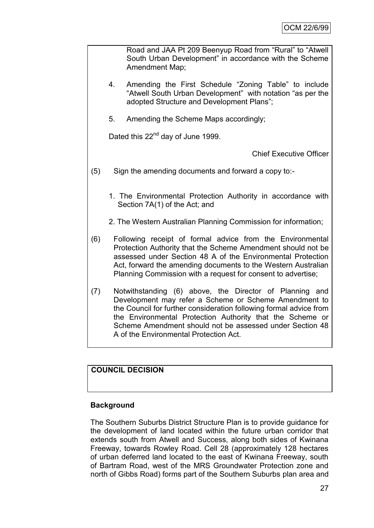Road and JAA Pt 209 Beenyup Road from "Rural" to "Atwell South Urban Development" in accordance with the Scheme Amendment Map;

- 4. Amending the First Schedule "Zoning Table" to include "Atwell South Urban Development" with notation "as per the adopted Structure and Development Plans";
- 5. Amending the Scheme Maps accordingly;

Dated this 22<sup>nd</sup> day of June 1999.

Chief Executive Officer

- (5) Sign the amending documents and forward a copy to:-
	- 1. The Environmental Protection Authority in accordance with Section 7A(1) of the Act; and
	- 2. The Western Australian Planning Commission for information;
- (6) Following receipt of formal advice from the Environmental Protection Authority that the Scheme Amendment should not be assessed under Section 48 A of the Environmental Protection Act, forward the amending documents to the Western Australian Planning Commission with a request for consent to advertise;
- (7) Notwithstanding (6) above, the Director of Planning and Development may refer a Scheme or Scheme Amendment to the Council for further consideration following formal advice from the Environmental Protection Authority that the Scheme or Scheme Amendment should not be assessed under Section 48 A of the Environmental Protection Act.

# **COUNCIL DECISION**

#### **Background**

The Southern Suburbs District Structure Plan is to provide guidance for the development of land located within the future urban corridor that extends south from Atwell and Success, along both sides of Kwinana Freeway, towards Rowley Road. Cell 28 (approximately 128 hectares of urban deferred land located to the east of Kwinana Freeway, south of Bartram Road, west of the MRS Groundwater Protection zone and north of Gibbs Road) forms part of the Southern Suburbs plan area and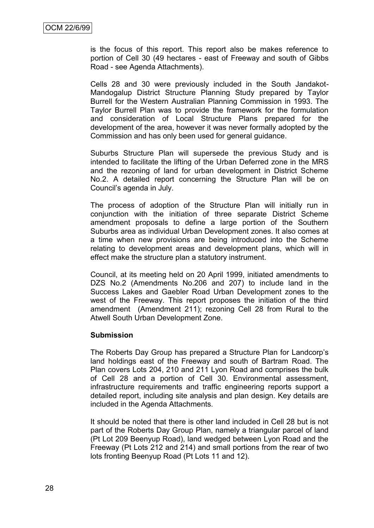is the focus of this report. This report also be makes reference to portion of Cell 30 (49 hectares - east of Freeway and south of Gibbs Road - see Agenda Attachments).

Cells 28 and 30 were previously included in the South Jandakot-Mandogalup District Structure Planning Study prepared by Taylor Burrell for the Western Australian Planning Commission in 1993. The Taylor Burrell Plan was to provide the framework for the formulation and consideration of Local Structure Plans prepared for the development of the area, however it was never formally adopted by the Commission and has only been used for general guidance.

Suburbs Structure Plan will supersede the previous Study and is intended to facilitate the lifting of the Urban Deferred zone in the MRS and the rezoning of land for urban development in District Scheme No.2. A detailed report concerning the Structure Plan will be on Council's agenda in July.

The process of adoption of the Structure Plan will initially run in conjunction with the initiation of three separate District Scheme amendment proposals to define a large portion of the Southern Suburbs area as individual Urban Development zones. It also comes at a time when new provisions are being introduced into the Scheme relating to development areas and development plans, which will in effect make the structure plan a statutory instrument.

Council, at its meeting held on 20 April 1999, initiated amendments to DZS No.2 (Amendments No.206 and 207) to include land in the Success Lakes and Gaebler Road Urban Development zones to the west of the Freeway. This report proposes the initiation of the third amendment (Amendment 211); rezoning Cell 28 from Rural to the Atwell South Urban Development Zone.

#### **Submission**

The Roberts Day Group has prepared a Structure Plan for Landcorp's land holdings east of the Freeway and south of Bartram Road. The Plan covers Lots 204, 210 and 211 Lyon Road and comprises the bulk of Cell 28 and a portion of Cell 30. Environmental assessment, infrastructure requirements and traffic engineering reports support a detailed report, including site analysis and plan design. Key details are included in the Agenda Attachments.

It should be noted that there is other land included in Cell 28 but is not part of the Roberts Day Group Plan, namely a triangular parcel of land (Pt Lot 209 Beenyup Road), land wedged between Lyon Road and the Freeway (Pt Lots 212 and 214) and small portions from the rear of two lots fronting Beenyup Road (Pt Lots 11 and 12).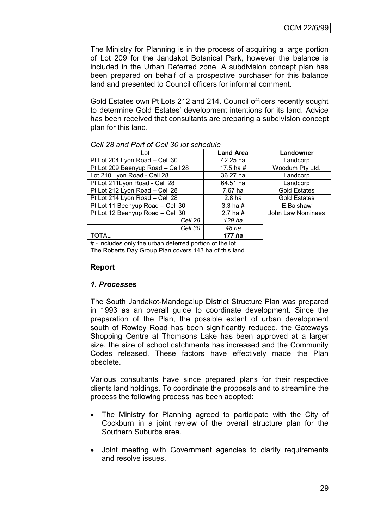The Ministry for Planning is in the process of acquiring a large portion of Lot 209 for the Jandakot Botanical Park, however the balance is included in the Urban Deferred zone. A subdivision concept plan has been prepared on behalf of a prospective purchaser for this balance land and presented to Council officers for informal comment.

Gold Estates own Pt Lots 212 and 214. Council officers recently sought to determine Gold Estates' development intentions for its land. Advice has been received that consultants are preparing a subdivision concept plan for this land.

| Lot                               | <b>Land Area</b>  | Landowner           |
|-----------------------------------|-------------------|---------------------|
| Pt Lot 204 Lyon Road - Cell 30    | 42.25 ha          | Landcorp            |
| Pt Lot 209 Beenyup Road - Cell 28 | 17.5 ha $#$       | Woodum Pty Ltd.     |
| Lot 210 Lyon Road - Cell 28       | 36.27 ha          | Landcorp            |
| Pt Lot 211Lyon Road - Cell 28     | 64.51 ha          | Landcorp            |
| Pt Lot 212 Lyon Road - Cell 28    | 7.67 ha           | <b>Gold Estates</b> |
| Pt Lot 214 Lyon Road - Cell 28    | 2.8 <sub>ha</sub> | <b>Gold Estates</b> |
| Pt Lot 11 Beenyup Road - Cell 30  | 3.3 ha $#$        | E.Balshaw           |
| Pt Lot 12 Beenyup Road - Cell 30  | 2.7 ha $#$        | John Law Nominees   |
| Cell 28                           | 129 ha            |                     |
| Cell 30                           | 48 ha             |                     |
| TOTAL                             | 177 ha            |                     |

#### *Cell 28 and Part of Cell 30 lot schedule*

# - includes only the urban deferred portion of the lot. The Roberts Day Group Plan covers 143 ha of this land

#### **Report**

#### *1. Processes*

The South Jandakot-Mandogalup District Structure Plan was prepared in 1993 as an overall guide to coordinate development. Since the preparation of the Plan, the possible extent of urban development south of Rowley Road has been significantly reduced, the Gateways Shopping Centre at Thomsons Lake has been approved at a larger size, the size of school catchments has increased and the Community Codes released. These factors have effectively made the Plan obsolete.

Various consultants have since prepared plans for their respective clients land holdings. To coordinate the proposals and to streamline the process the following process has been adopted:

- The Ministry for Planning agreed to participate with the City of Cockburn in a joint review of the overall structure plan for the Southern Suburbs area.
- Joint meeting with Government agencies to clarify requirements and resolve issues.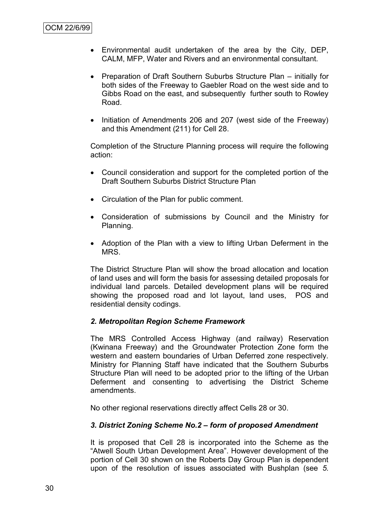- Environmental audit undertaken of the area by the City, DEP, CALM, MFP, Water and Rivers and an environmental consultant.
- Preparation of Draft Southern Suburbs Structure Plan initially for both sides of the Freeway to Gaebler Road on the west side and to Gibbs Road on the east, and subsequently further south to Rowley Road.
- Initiation of Amendments 206 and 207 (west side of the Freeway) and this Amendment (211) for Cell 28.

Completion of the Structure Planning process will require the following action:

- Council consideration and support for the completed portion of the Draft Southern Suburbs District Structure Plan
- Circulation of the Plan for public comment.
- Consideration of submissions by Council and the Ministry for Planning.
- Adoption of the Plan with a view to lifting Urban Deferment in the MRS.

The District Structure Plan will show the broad allocation and location of land uses and will form the basis for assessing detailed proposals for individual land parcels. Detailed development plans will be required showing the proposed road and lot layout, land uses, POS and residential density codings.

#### *2. Metropolitan Region Scheme Framework*

The MRS Controlled Access Highway (and railway) Reservation (Kwinana Freeway) and the Groundwater Protection Zone form the western and eastern boundaries of Urban Deferred zone respectively. Ministry for Planning Staff have indicated that the Southern Suburbs Structure Plan will need to be adopted prior to the lifting of the Urban Deferment and consenting to advertising the District Scheme amendments.

No other regional reservations directly affect Cells 28 or 30.

## *3. District Zoning Scheme No.2 – form of proposed Amendment*

It is proposed that Cell 28 is incorporated into the Scheme as the "Atwell South Urban Development Area". However development of the portion of Cell 30 shown on the Roberts Day Group Plan is dependent upon of the resolution of issues associated with Bushplan (see *5.*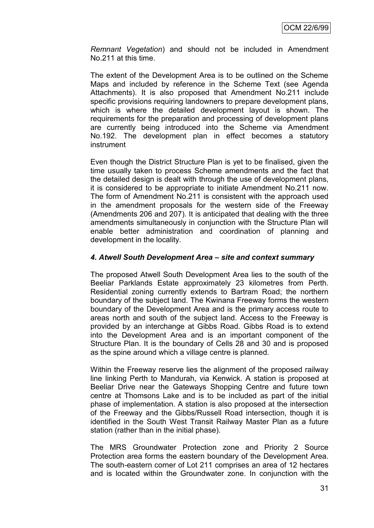*Remnant Vegetation*) and should not be included in Amendment No.211 at this time.

The extent of the Development Area is to be outlined on the Scheme Maps and included by reference in the Scheme Text (see Agenda Attachments). It is also proposed that Amendment No.211 include specific provisions requiring landowners to prepare development plans, which is where the detailed development layout is shown. The requirements for the preparation and processing of development plans are currently being introduced into the Scheme via Amendment No.192. The development plan in effect becomes a statutory instrument

Even though the District Structure Plan is yet to be finalised, given the time usually taken to process Scheme amendments and the fact that the detailed design is dealt with through the use of development plans, it is considered to be appropriate to initiate Amendment No.211 now. The form of Amendment No.211 is consistent with the approach used in the amendment proposals for the western side of the Freeway (Amendments 206 and 207). It is anticipated that dealing with the three amendments simultaneously in conjunction with the Structure Plan will enable better administration and coordination of planning and development in the locality.

## *4. Atwell South Development Area – site and context summary*

The proposed Atwell South Development Area lies to the south of the Beeliar Parklands Estate approximately 23 kilometres from Perth. Residential zoning currently extends to Bartram Road; the northern boundary of the subject land. The Kwinana Freeway forms the western boundary of the Development Area and is the primary access route to areas north and south of the subject land. Access to the Freeway is provided by an interchange at Gibbs Road. Gibbs Road is to extend into the Development Area and is an important component of the Structure Plan. It is the boundary of Cells 28 and 30 and is proposed as the spine around which a village centre is planned.

Within the Freeway reserve lies the alignment of the proposed railway line linking Perth to Mandurah, via Kenwick. A station is proposed at Beeliar Drive near the Gateways Shopping Centre and future town centre at Thomsons Lake and is to be included as part of the initial phase of implementation. A station is also proposed at the intersection of the Freeway and the Gibbs/Russell Road intersection, though it is identified in the South West Transit Railway Master Plan as a future station (rather than in the initial phase).

The MRS Groundwater Protection zone and Priority 2 Source Protection area forms the eastern boundary of the Development Area. The south-eastern corner of Lot 211 comprises an area of 12 hectares and is located within the Groundwater zone. In conjunction with the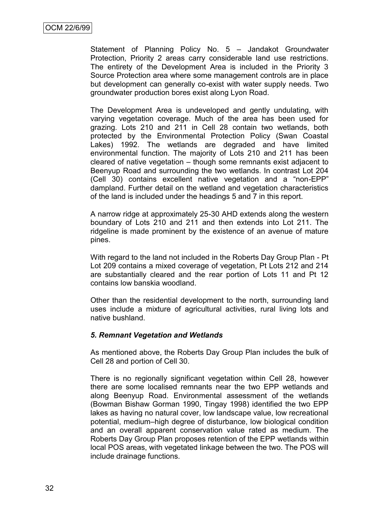Statement of Planning Policy No. 5 – Jandakot Groundwater Protection, Priority 2 areas carry considerable land use restrictions. The entirety of the Development Area is included in the Priority 3 Source Protection area where some management controls are in place but development can generally co-exist with water supply needs. Two groundwater production bores exist along Lyon Road.

The Development Area is undeveloped and gently undulating, with varying vegetation coverage. Much of the area has been used for grazing. Lots 210 and 211 in Cell 28 contain two wetlands, both protected by the Environmental Protection Policy (Swan Coastal Lakes) 1992. The wetlands are degraded and have limited environmental function. The majority of Lots 210 and 211 has been cleared of native vegetation – though some remnants exist adjacent to Beenyup Road and surrounding the two wetlands. In contrast Lot 204 (Cell 30) contains excellent native vegetation and a "non-EPP" dampland. Further detail on the wetland and vegetation characteristics of the land is included under the headings 5 and 7 in this report.

A narrow ridge at approximately 25-30 AHD extends along the western boundary of Lots 210 and 211 and then extends into Lot 211. The ridgeline is made prominent by the existence of an avenue of mature pines.

With regard to the land not included in the Roberts Day Group Plan - Pt Lot 209 contains a mixed coverage of vegetation, Pt Lots 212 and 214 are substantially cleared and the rear portion of Lots 11 and Pt 12 contains low banskia woodland.

Other than the residential development to the north, surrounding land uses include a mixture of agricultural activities, rural living lots and native bushland.

#### *5. Remnant Vegetation and Wetlands*

As mentioned above, the Roberts Day Group Plan includes the bulk of Cell 28 and portion of Cell 30.

There is no regionally significant vegetation within Cell 28, however there are some localised remnants near the two EPP wetlands and along Beenyup Road. Environmental assessment of the wetlands (Bowman Bishaw Gorman 1990, Tingay 1998) identified the two EPP lakes as having no natural cover, low landscape value, low recreational potential, medium–high degree of disturbance, low biological condition and an overall apparent conservation value rated as medium. The Roberts Day Group Plan proposes retention of the EPP wetlands within local POS areas, with vegetated linkage between the two. The POS will include drainage functions.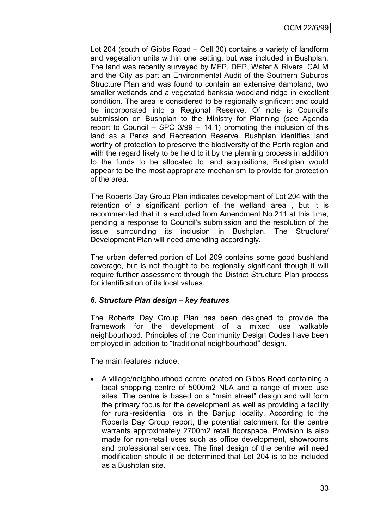Lot 204 (south of Gibbs Road – Cell 30) contains a variety of landform and vegetation units within one setting, but was included in Bushplan. The land was recently surveyed by MFP, DEP, Water & Rivers, CALM and the City as part an Environmental Audit of the Southern Suburbs Structure Plan and was found to contain an extensive dampland, two smaller wetlands and a vegetated banksia woodland ridge in excellent condition. The area is considered to be regionally significant and could be incorporated into a Regional Reserve. Of note is Council's submission on Bushplan to the Ministry for Planning (see Agenda report to Council – SPC  $3/99 - 14.1$ ) promoting the inclusion of this land as a Parks and Recreation Reserve. Bushplan identifies land worthy of protection to preserve the biodiversity of the Perth region and with the regard likely to be held to it by the planning process in addition to the funds to be allocated to land acquisitions, Bushplan would appear to be the most appropriate mechanism to provide for protection of the area.

The Roberts Day Group Plan indicates development of Lot 204 with the retention of a significant portion of the wetland area , but it is recommended that it is excluded from Amendment No.211 at this time, pending a response to Council's submission and the resolution of the issue surrounding its inclusion in Bushplan. The Structure/ Development Plan will need amending accordingly.

The urban deferred portion of Lot 209 contains some good bushland coverage, but is not thought to be regionally significant though it will require further assessment through the District Structure Plan process for identification of its local values.

#### *6. Structure Plan design – key features*

The Roberts Day Group Plan has been designed to provide the framework for the development of a mixed use walkable neighbourhood. Principles of the Community Design Codes have been employed in addition to "traditional neighbourhood" design.

The main features include:

 A village/neighbourhood centre located on Gibbs Road containing a local shopping centre of 5000m2 NLA and a range of mixed use sites. The centre is based on a "main street" design and will form the primary focus for the development as well as providing a facility for rural-residential lots in the Banjup locality. According to the Roberts Day Group report, the potential catchment for the centre warrants approximately 2700m2 retail floorspace. Provision is also made for non-retail uses such as office development, showrooms and professional services. The final design of the centre will need modification should it be determined that Lot 204 is to be included as a Bushplan site.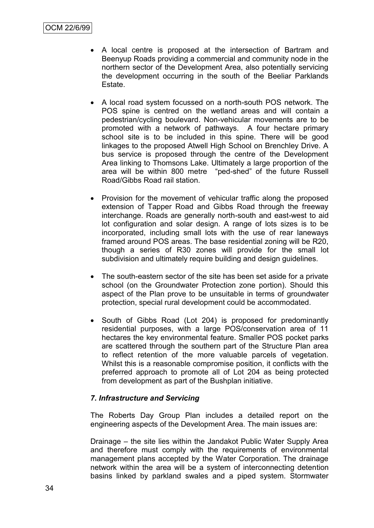- A local centre is proposed at the intersection of Bartram and Beenyup Roads providing a commercial and community node in the northern sector of the Development Area, also potentially servicing the development occurring in the south of the Beeliar Parklands Estate.
- A local road system focussed on a north-south POS network. The POS spine is centred on the wetland areas and will contain a pedestrian/cycling boulevard. Non-vehicular movements are to be promoted with a network of pathways. A four hectare primary school site is to be included in this spine. There will be good linkages to the proposed Atwell High School on Brenchley Drive. A bus service is proposed through the centre of the Development Area linking to Thomsons Lake. Ultimately a large proportion of the area will be within 800 metre "ped-shed" of the future Russell Road/Gibbs Road rail station.
- Provision for the movement of vehicular traffic along the proposed extension of Tapper Road and Gibbs Road through the freeway interchange. Roads are generally north-south and east-west to aid lot configuration and solar design. A range of lots sizes is to be incorporated, including small lots with the use of rear laneways framed around POS areas. The base residential zoning will be R20, though a series of R30 zones will provide for the small lot subdivision and ultimately require building and design guidelines.
- The south-eastern sector of the site has been set aside for a private school (on the Groundwater Protection zone portion). Should this aspect of the Plan prove to be unsuitable in terms of groundwater protection, special rural development could be accommodated.
- South of Gibbs Road (Lot 204) is proposed for predominantly residential purposes, with a large POS/conservation area of 11 hectares the key environmental feature. Smaller POS pocket parks are scattered through the southern part of the Structure Plan area to reflect retention of the more valuable parcels of vegetation. Whilst this is a reasonable compromise position, it conflicts with the preferred approach to promote all of Lot 204 as being protected from development as part of the Bushplan initiative.

#### *7. Infrastructure and Servicing*

The Roberts Day Group Plan includes a detailed report on the engineering aspects of the Development Area. The main issues are:

Drainage – the site lies within the Jandakot Public Water Supply Area and therefore must comply with the requirements of environmental management plans accepted by the Water Corporation. The drainage network within the area will be a system of interconnecting detention basins linked by parkland swales and a piped system. Stormwater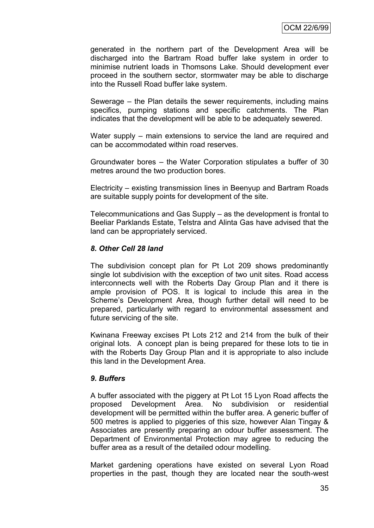generated in the northern part of the Development Area will be discharged into the Bartram Road buffer lake system in order to minimise nutrient loads in Thomsons Lake. Should development ever proceed in the southern sector, stormwater may be able to discharge into the Russell Road buffer lake system.

Sewerage – the Plan details the sewer requirements, including mains specifics, pumping stations and specific catchments. The Plan indicates that the development will be able to be adequately sewered.

Water supply – main extensions to service the land are required and can be accommodated within road reserves.

Groundwater bores – the Water Corporation stipulates a buffer of 30 metres around the two production bores.

Electricity – existing transmission lines in Beenyup and Bartram Roads are suitable supply points for development of the site.

Telecommunications and Gas Supply – as the development is frontal to Beeliar Parklands Estate, Telstra and Alinta Gas have advised that the land can be appropriately serviced.

#### *8. Other Cell 28 land*

The subdivision concept plan for Pt Lot 209 shows predominantly single lot subdivision with the exception of two unit sites. Road access interconnects well with the Roberts Day Group Plan and it there is ample provision of POS. It is logical to include this area in the Scheme's Development Area, though further detail will need to be prepared, particularly with regard to environmental assessment and future servicing of the site.

Kwinana Freeway excises Pt Lots 212 and 214 from the bulk of their original lots. A concept plan is being prepared for these lots to tie in with the Roberts Day Group Plan and it is appropriate to also include this land in the Development Area.

#### *9. Buffers*

A buffer associated with the piggery at Pt Lot 15 Lyon Road affects the proposed Development Area. No subdivision or residential development will be permitted within the buffer area. A generic buffer of 500 metres is applied to piggeries of this size, however Alan Tingay & Associates are presently preparing an odour buffer assessment. The Department of Environmental Protection may agree to reducing the buffer area as a result of the detailed odour modelling.

Market gardening operations have existed on several Lyon Road properties in the past, though they are located near the south-west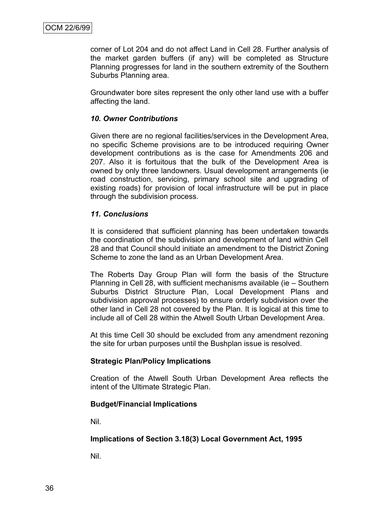corner of Lot 204 and do not affect Land in Cell 28. Further analysis of the market garden buffers (if any) will be completed as Structure Planning progresses for land in the southern extremity of the Southern Suburbs Planning area.

Groundwater bore sites represent the only other land use with a buffer affecting the land.

#### *10. Owner Contributions*

Given there are no regional facilities/services in the Development Area, no specific Scheme provisions are to be introduced requiring Owner development contributions as is the case for Amendments 206 and 207. Also it is fortuitous that the bulk of the Development Area is owned by only three landowners. Usual development arrangements (ie road construction, servicing, primary school site and upgrading of existing roads) for provision of local infrastructure will be put in place through the subdivision process.

#### *11. Conclusions*

It is considered that sufficient planning has been undertaken towards the coordination of the subdivision and development of land within Cell 28 and that Council should initiate an amendment to the District Zoning Scheme to zone the land as an Urban Development Area.

The Roberts Day Group Plan will form the basis of the Structure Planning in Cell 28, with sufficient mechanisms available (ie – Southern Suburbs District Structure Plan, Local Development Plans and subdivision approval processes) to ensure orderly subdivision over the other land in Cell 28 not covered by the Plan. It is logical at this time to include all of Cell 28 within the Atwell South Urban Development Area.

At this time Cell 30 should be excluded from any amendment rezoning the site for urban purposes until the Bushplan issue is resolved.

#### **Strategic Plan/Policy Implications**

Creation of the Atwell South Urban Development Area reflects the intent of the Ultimate Strategic Plan.

#### **Budget/Financial Implications**

Nil.

#### **Implications of Section 3.18(3) Local Government Act, 1995**

Nil.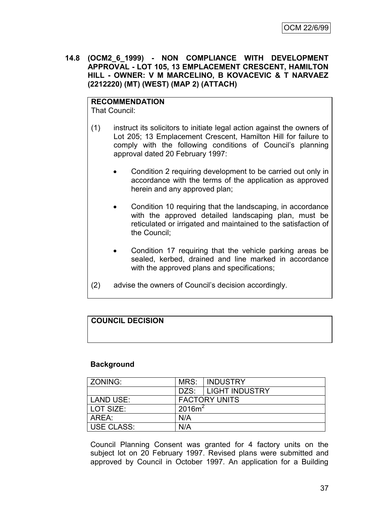**14.8 (OCM2\_6\_1999) - NON COMPLIANCE WITH DEVELOPMENT APPROVAL - LOT 105, 13 EMPLACEMENT CRESCENT, HAMILTON HILL - OWNER: V M MARCELINO, B KOVACEVIC & T NARVAEZ (2212220) (MT) (WEST) (MAP 2) (ATTACH)**

# **RECOMMENDATION**

That Council:

- (1) instruct its solicitors to initiate legal action against the owners of Lot 205; 13 Emplacement Crescent, Hamilton Hill for failure to comply with the following conditions of Council's planning approval dated 20 February 1997:
	- Condition 2 requiring development to be carried out only in accordance with the terms of the application as approved herein and any approved plan;
	- Condition 10 requiring that the landscaping, in accordance with the approved detailed landscaping plan, must be reticulated or irrigated and maintained to the satisfaction of the Council;
	- Condition 17 requiring that the vehicle parking areas be sealed, kerbed, drained and line marked in accordance with the approved plans and specifications;
- (2) advise the owners of Council's decision accordingly.

# **COUNCIL DECISION**

## **Background**

| l ZONING:   |           | MRS: INDUSTRY         |
|-------------|-----------|-----------------------|
|             |           | DZS:   LIGHT INDUSTRY |
| LAND USE:   |           | <b>FACTORY UNITS</b>  |
| l LOT SIZE: | $2016m^2$ |                       |
| AREA:       | N/A       |                       |
| USE CLASS:  | N/A       |                       |

Council Planning Consent was granted for 4 factory units on the subject lot on 20 February 1997. Revised plans were submitted and approved by Council in October 1997. An application for a Building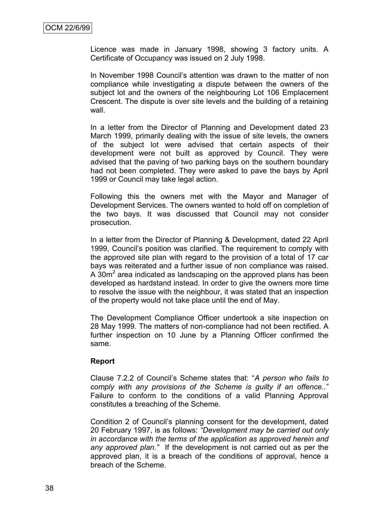Licence was made in January 1998, showing 3 factory units. A Certificate of Occupancy was issued on 2 July 1998.

In November 1998 Council's attention was drawn to the matter of non compliance while investigating a dispute between the owners of the subject lot and the owners of the neighbouring Lot 106 Emplacement Crescent. The dispute is over site levels and the building of a retaining wall.

In a letter from the Director of Planning and Development dated 23 March 1999, primarily dealing with the issue of site levels, the owners of the subject lot were advised that certain aspects of their development were not built as approved by Council. They were advised that the paving of two parking bays on the southern boundary had not been completed. They were asked to pave the bays by April 1999 or Council may take legal action.

Following this the owners met with the Mayor and Manager of Development Services. The owners wanted to hold off on completion of the two bays. It was discussed that Council may not consider prosecution.

In a letter from the Director of Planning & Development, dated 22 April 1999, Council's position was clarified. The requirement to comply with the approved site plan with regard to the provision of a total of 17 car bays was reiterated and a further issue of non compliance was raised. A  $30m<sup>2</sup>$  area indicated as landscaping on the approved plans has been developed as hardstand instead. In order to give the owners more time to resolve the issue with the neighbour, it was stated that an inspection of the property would not take place until the end of May.

The Development Compliance Officer undertook a site inspection on 28 May 1999. The matters of non-compliance had not been rectified. A further inspection on 10 June by a Planning Officer confirmed the same.

#### **Report**

Clause 7.2.2 of Council's Scheme states that: "*A person who fails to comply with any provisions of the Scheme is guilty if an offence..*" Failure to conform to the conditions of a valid Planning Approval constitutes a breaching of the Scheme.

Condition 2 of Council's planning consent for the development, dated 20 February 1997, is as follows: *"Development may be carried out only in accordance with the terms of the application as approved herein and any approved plan."* If the development is not carried out as per the approved plan, it is a breach of the conditions of approval, hence a breach of the Scheme.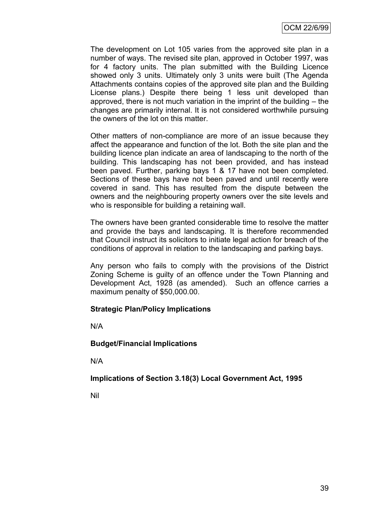The development on Lot 105 varies from the approved site plan in a number of ways. The revised site plan, approved in October 1997, was for 4 factory units. The plan submitted with the Building Licence showed only 3 units. Ultimately only 3 units were built (The Agenda Attachments contains copies of the approved site plan and the Building License plans.) Despite there being 1 less unit developed than approved, there is not much variation in the imprint of the building – the changes are primarily internal. It is not considered worthwhile pursuing the owners of the lot on this matter.

Other matters of non-compliance are more of an issue because they affect the appearance and function of the lot. Both the site plan and the building licence plan indicate an area of landscaping to the north of the building. This landscaping has not been provided, and has instead been paved. Further, parking bays 1 & 17 have not been completed. Sections of these bays have not been paved and until recently were covered in sand. This has resulted from the dispute between the owners and the neighbouring property owners over the site levels and who is responsible for building a retaining wall.

The owners have been granted considerable time to resolve the matter and provide the bays and landscaping. It is therefore recommended that Council instruct its solicitors to initiate legal action for breach of the conditions of approval in relation to the landscaping and parking bays.

Any person who fails to comply with the provisions of the District Zoning Scheme is guilty of an offence under the Town Planning and Development Act, 1928 (as amended). Such an offence carries a maximum penalty of \$50,000.00.

#### **Strategic Plan/Policy Implications**

N/A

#### **Budget/Financial Implications**

N/A

**Implications of Section 3.18(3) Local Government Act, 1995**

Nil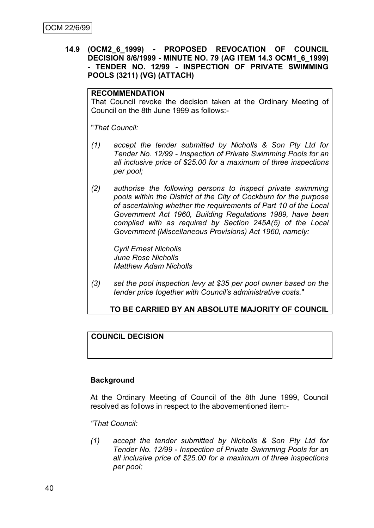#### **14.9 (OCM2\_6\_1999) - PROPOSED REVOCATION OF COUNCIL DECISION 8/6/1999 - MINUTE NO. 79 (AG ITEM 14.3 OCM1\_6\_1999) - TENDER NO. 12/99 - INSPECTION OF PRIVATE SWIMMING POOLS (3211) (VG) (ATTACH)**

#### **RECOMMENDATION**

That Council revoke the decision taken at the Ordinary Meeting of Council on the 8th June 1999 as follows:-

"*That Council:*

- *(1) accept the tender submitted by Nicholls & Son Pty Ltd for Tender No. 12/99 - Inspection of Private Swimming Pools for an all inclusive price of \$25.00 for a maximum of three inspections per pool;*
- *(2) authorise the following persons to inspect private swimming pools within the District of the City of Cockburn for the purpose of ascertaining whether the requirements of Part 10 of the Local Government Act 1960, Building Regulations 1989, have been complied with as required by Section 245A(5) of the Local Government (Miscellaneous Provisions) Act 1960, namely:*

*Cyril Ernest Nicholls June Rose Nicholls Matthew Adam Nicholls*

*(3) set the pool inspection levy at \$35 per pool owner based on the tender price together with Council's administrative costs.*"

## **TO BE CARRIED BY AN ABSOLUTE MAJORITY OF COUNCIL**

#### **COUNCIL DECISION**

#### **Background**

At the Ordinary Meeting of Council of the 8th June 1999, Council resolved as follows in respect to the abovementioned item:-

*"That Council:*

*(1) accept the tender submitted by Nicholls & Son Pty Ltd for Tender No. 12/99 - Inspection of Private Swimming Pools for an all inclusive price of \$25.00 for a maximum of three inspections per pool;*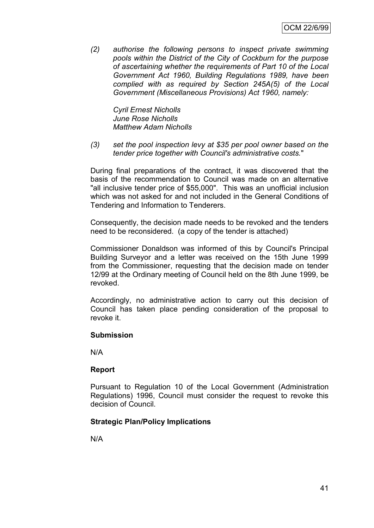*(2) authorise the following persons to inspect private swimming pools within the District of the City of Cockburn for the purpose of ascertaining whether the requirements of Part 10 of the Local Government Act 1960, Building Regulations 1989, have been complied with as required by Section 245A(5) of the Local Government (Miscellaneous Provisions) Act 1960, namely:*

*Cyril Ernest Nicholls June Rose Nicholls Matthew Adam Nicholls*

*(3) set the pool inspection levy at \$35 per pool owner based on the tender price together with Council's administrative costs.*"

During final preparations of the contract, it was discovered that the basis of the recommendation to Council was made on an alternative "all inclusive tender price of \$55,000". This was an unofficial inclusion which was not asked for and not included in the General Conditions of Tendering and Information to Tenderers.

Consequently, the decision made needs to be revoked and the tenders need to be reconsidered. (a copy of the tender is attached)

Commissioner Donaldson was informed of this by Council's Principal Building Surveyor and a letter was received on the 15th June 1999 from the Commissioner, requesting that the decision made on tender 12/99 at the Ordinary meeting of Council held on the 8th June 1999, be revoked.

Accordingly, no administrative action to carry out this decision of Council has taken place pending consideration of the proposal to revoke it.

#### **Submission**

N/A

#### **Report**

Pursuant to Regulation 10 of the Local Government (Administration Regulations) 1996, Council must consider the request to revoke this decision of Council.

#### **Strategic Plan/Policy Implications**

N/A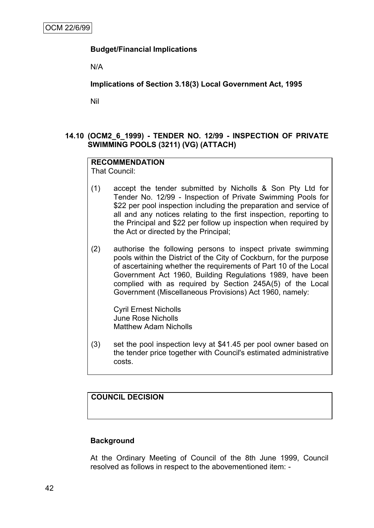## **Budget/Financial Implications**

N/A

**Implications of Section 3.18(3) Local Government Act, 1995**

Nil

## **14.10 (OCM2\_6\_1999) - TENDER NO. 12/99 - INSPECTION OF PRIVATE SWIMMING POOLS (3211) (VG) (ATTACH)**

# **RECOMMENDATION**

That Council:

- (1) accept the tender submitted by Nicholls & Son Pty Ltd for Tender No. 12/99 - Inspection of Private Swimming Pools for \$22 per pool inspection including the preparation and service of all and any notices relating to the first inspection, reporting to the Principal and \$22 per follow up inspection when required by the Act or directed by the Principal;
- (2) authorise the following persons to inspect private swimming pools within the District of the City of Cockburn, for the purpose of ascertaining whether the requirements of Part 10 of the Local Government Act 1960, Building Regulations 1989, have been complied with as required by Section 245A(5) of the Local Government (Miscellaneous Provisions) Act 1960, namely:

Cyril Ernest Nicholls June Rose Nicholls Matthew Adam Nicholls

(3) set the pool inspection levy at \$41.45 per pool owner based on the tender price together with Council's estimated administrative costs.

**COUNCIL DECISION**

#### **Background**

At the Ordinary Meeting of Council of the 8th June 1999, Council resolved as follows in respect to the abovementioned item: -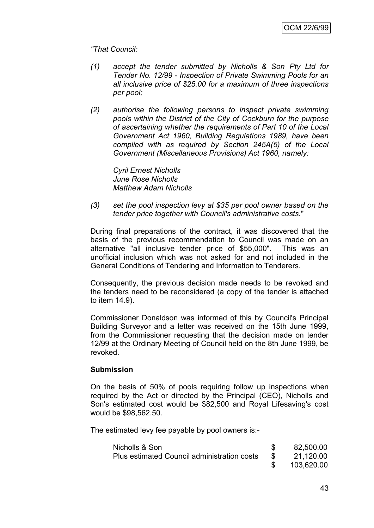*"That Council:*

- *(1) accept the tender submitted by Nicholls & Son Pty Ltd for Tender No. 12/99 - Inspection of Private Swimming Pools for an all inclusive price of \$25.00 for a maximum of three inspections per pool;*
- *(2) authorise the following persons to inspect private swimming pools within the District of the City of Cockburn for the purpose of ascertaining whether the requirements of Part 10 of the Local Government Act 1960, Building Regulations 1989, have been complied with as required by Section 245A(5) of the Local Government (Miscellaneous Provisions) Act 1960, namely:*

*Cyril Ernest Nicholls June Rose Nicholls Matthew Adam Nicholls*

*(3) set the pool inspection levy at \$35 per pool owner based on the tender price together with Council's administrative costs.*"

During final preparations of the contract, it was discovered that the basis of the previous recommendation to Council was made on an alternative "all inclusive tender price of \$55,000". This was an unofficial inclusion which was not asked for and not included in the General Conditions of Tendering and Information to Tenderers.

Consequently, the previous decision made needs to be revoked and the tenders need to be reconsidered (a copy of the tender is attached to item 14.9).

Commissioner Donaldson was informed of this by Council's Principal Building Surveyor and a letter was received on the 15th June 1999, from the Commissioner requesting that the decision made on tender 12/99 at the Ordinary Meeting of Council held on the 8th June 1999, be revoked.

#### **Submission**

On the basis of 50% of pools requiring follow up inspections when required by the Act or directed by the Principal (CEO), Nicholls and Son's estimated cost would be \$82,500 and Royal Lifesaving's cost would be \$98,562.50.

The estimated levy fee payable by pool owners is:-

| Nicholls & Son                              | 82,500.00  |
|---------------------------------------------|------------|
| Plus estimated Council administration costs | 21,120.00  |
|                                             | 103,620.00 |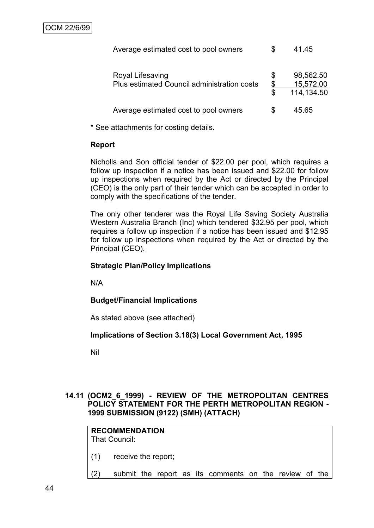| Average estimated cost to pool owners                           |                | 41.45                                |
|-----------------------------------------------------------------|----------------|--------------------------------------|
| Royal Lifesaving<br>Plus estimated Council administration costs | \$<br>\$<br>\$ | 98,562.50<br>15,572.00<br>114,134.50 |
| Average estimated cost to pool owners                           | S              | 45.65                                |

\* See attachments for costing details.

## **Report**

Nicholls and Son official tender of \$22.00 per pool, which requires a follow up inspection if a notice has been issued and \$22.00 for follow up inspections when required by the Act or directed by the Principal (CEO) is the only part of their tender which can be accepted in order to comply with the specifications of the tender.

The only other tenderer was the Royal Life Saving Society Australia Western Australia Branch (Inc) which tendered \$32.95 per pool, which requires a follow up inspection if a notice has been issued and \$12.95 for follow up inspections when required by the Act or directed by the Principal (CEO).

## **Strategic Plan/Policy Implications**

N/A

## **Budget/Financial Implications**

As stated above (see attached)

## **Implications of Section 3.18(3) Local Government Act, 1995**

Nil

## **14.11 (OCM2\_6\_1999) - REVIEW OF THE METROPOLITAN CENTRES POLICY STATEMENT FOR THE PERTH METROPOLITAN REGION - 1999 SUBMISSION (9122) (SMH) (ATTACH)**

## **RECOMMENDATION** That Council:

- (1) receive the report;
- (2) submit the report as its comments on the review of the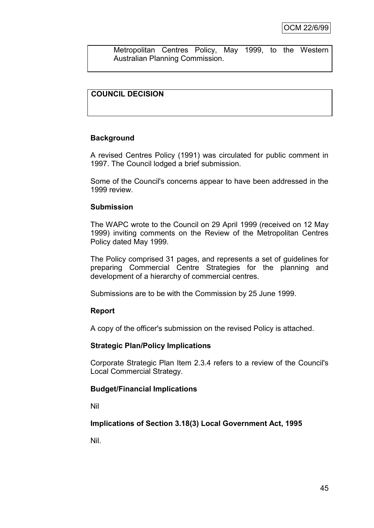Metropolitan Centres Policy, May 1999, to the Western Australian Planning Commission.

## **COUNCIL DECISION**

#### **Background**

A revised Centres Policy (1991) was circulated for public comment in 1997. The Council lodged a brief submission.

Some of the Council's concerns appear to have been addressed in the 1999 review.

#### **Submission**

The WAPC wrote to the Council on 29 April 1999 (received on 12 May 1999) inviting comments on the Review of the Metropolitan Centres Policy dated May 1999.

The Policy comprised 31 pages, and represents a set of guidelines for preparing Commercial Centre Strategies for the planning and development of a hierarchy of commercial centres.

Submissions are to be with the Commission by 25 June 1999.

#### **Report**

A copy of the officer's submission on the revised Policy is attached.

#### **Strategic Plan/Policy Implications**

Corporate Strategic Plan Item 2.3.4 refers to a review of the Council's Local Commercial Strategy.

#### **Budget/Financial Implications**

Nil

**Implications of Section 3.18(3) Local Government Act, 1995**

Nil.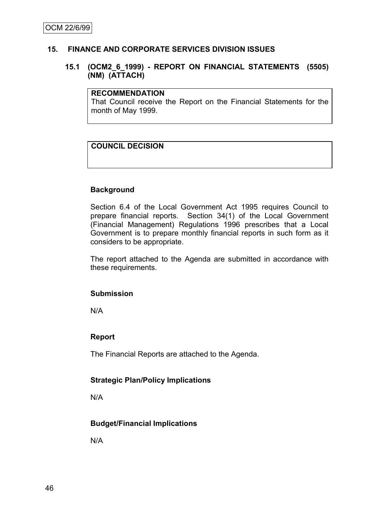#### **15. FINANCE AND CORPORATE SERVICES DIVISION ISSUES**

#### **15.1 (OCM2\_6\_1999) - REPORT ON FINANCIAL STATEMENTS (5505) (NM) (ATTACH)**

#### **RECOMMENDATION**

That Council receive the Report on the Financial Statements for the month of May 1999.

## **COUNCIL DECISION**

#### **Background**

Section 6.4 of the Local Government Act 1995 requires Council to prepare financial reports. Section 34(1) of the Local Government (Financial Management) Regulations 1996 prescribes that a Local Government is to prepare monthly financial reports in such form as it considers to be appropriate.

The report attached to the Agenda are submitted in accordance with these requirements.

#### **Submission**

N/A

#### **Report**

The Financial Reports are attached to the Agenda.

#### **Strategic Plan/Policy Implications**

N/A

## **Budget/Financial Implications**

N/A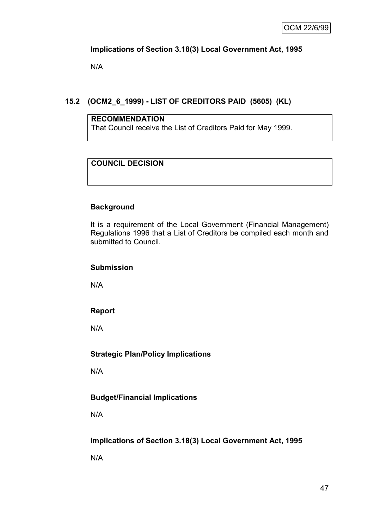## **Implications of Section 3.18(3) Local Government Act, 1995**

N/A

## **15.2 (OCM2\_6\_1999) - LIST OF CREDITORS PAID (5605) (KL)**

#### **RECOMMENDATION**

That Council receive the List of Creditors Paid for May 1999.

## **COUNCIL DECISION**

## **Background**

It is a requirement of the Local Government (Financial Management) Regulations 1996 that a List of Creditors be compiled each month and submitted to Council.

#### **Submission**

N/A

## **Report**

N/A

## **Strategic Plan/Policy Implications**

N/A

## **Budget/Financial Implications**

N/A

## **Implications of Section 3.18(3) Local Government Act, 1995**

N/A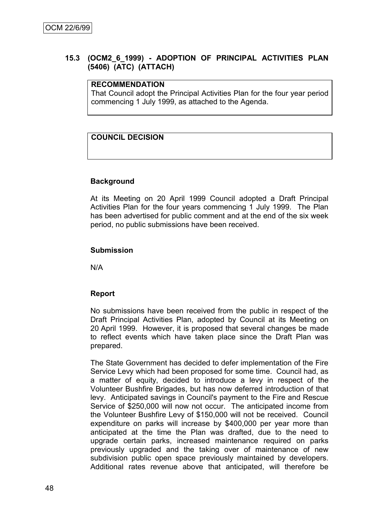## **15.3 (OCM2\_6\_1999) - ADOPTION OF PRINCIPAL ACTIVITIES PLAN (5406) (ATC) (ATTACH)**

## **RECOMMENDATION**

That Council adopt the Principal Activities Plan for the four year period commencing 1 July 1999, as attached to the Agenda.

## **COUNCIL DECISION**

#### **Background**

At its Meeting on 20 April 1999 Council adopted a Draft Principal Activities Plan for the four years commencing 1 July 1999. The Plan has been advertised for public comment and at the end of the six week period, no public submissions have been received.

#### **Submission**

N/A

#### **Report**

No submissions have been received from the public in respect of the Draft Principal Activities Plan, adopted by Council at its Meeting on 20 April 1999. However, it is proposed that several changes be made to reflect events which have taken place since the Draft Plan was prepared.

The State Government has decided to defer implementation of the Fire Service Levy which had been proposed for some time. Council had, as a matter of equity, decided to introduce a levy in respect of the Volunteer Bushfire Brigades, but has now deferred introduction of that levy. Anticipated savings in Council's payment to the Fire and Rescue Service of \$250,000 will now not occur. The anticipated income from the Volunteer Bushfire Levy of \$150,000 will not be received. Council expenditure on parks will increase by \$400,000 per year more than anticipated at the time the Plan was drafted, due to the need to upgrade certain parks, increased maintenance required on parks previously upgraded and the taking over of maintenance of new subdivision public open space previously maintained by developers. Additional rates revenue above that anticipated, will therefore be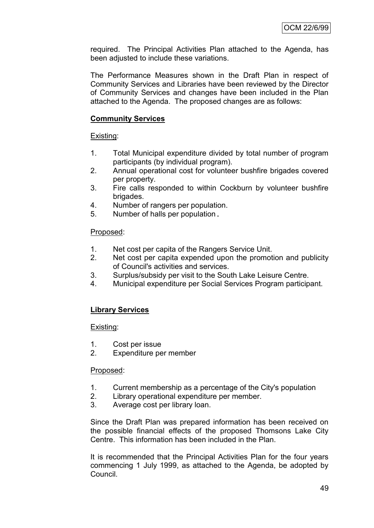required. The Principal Activities Plan attached to the Agenda, has been adjusted to include these variations.

The Performance Measures shown in the Draft Plan in respect of Community Services and Libraries have been reviewed by the Director of Community Services and changes have been included in the Plan attached to the Agenda. The proposed changes are as follows:

## **Community Services**

Existing:

- 1. Total Municipal expenditure divided by total number of program participants (by individual program).
- 2. Annual operational cost for volunteer bushfire brigades covered per property.
- 3. Fire calls responded to within Cockburn by volunteer bushfire brigades.
- 4. Number of rangers per population.
- 5. Number of halls per population.

#### Proposed:

- 1. Net cost per capita of the Rangers Service Unit.
- 2. Net cost per capita expended upon the promotion and publicity of Council's activities and services.
- 3. Surplus/subsidy per visit to the South Lake Leisure Centre.
- 4. Municipal expenditure per Social Services Program participant.

## **Library Services**

Existing:

- 1. Cost per issue
- 2. Expenditure per member

#### Proposed:

- 1. Current membership as a percentage of the City's population
- 2. Library operational expenditure per member.
- 3. Average cost per library loan.

Since the Draft Plan was prepared information has been received on the possible financial effects of the proposed Thomsons Lake City Centre. This information has been included in the Plan.

It is recommended that the Principal Activities Plan for the four years commencing 1 July 1999, as attached to the Agenda, be adopted by Council.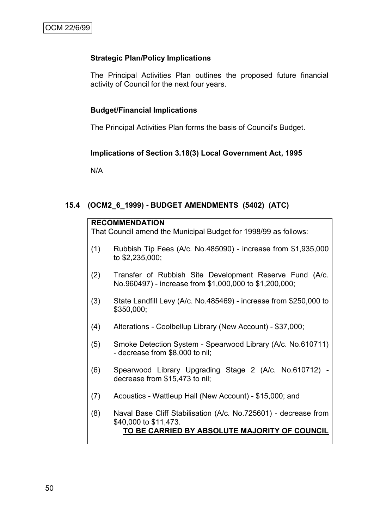## **Strategic Plan/Policy Implications**

The Principal Activities Plan outlines the proposed future financial activity of Council for the next four years.

## **Budget/Financial Implications**

The Principal Activities Plan forms the basis of Council's Budget.

#### **Implications of Section 3.18(3) Local Government Act, 1995**

N/A

## **15.4 (OCM2\_6\_1999) - BUDGET AMENDMENTS (5402) (ATC)**

| <b>RECOMMENDATION</b><br>That Council amend the Municipal Budget for 1998/99 as follows: |                                                                                                                                           |  |  |  |
|------------------------------------------------------------------------------------------|-------------------------------------------------------------------------------------------------------------------------------------------|--|--|--|
| (1)                                                                                      | Rubbish Tip Fees (A/c. No.485090) - increase from \$1,935,000<br>to \$2,235,000;                                                          |  |  |  |
| (2)                                                                                      | Transfer of Rubbish Site Development Reserve Fund (A/c.<br>No.960497) - increase from \$1,000,000 to \$1,200,000;                         |  |  |  |
| (3)                                                                                      | State Landfill Levy (A/c. No.485469) - increase from \$250,000 to<br>\$350,000;                                                           |  |  |  |
| (4)                                                                                      | Alterations - Coolbellup Library (New Account) - \$37,000;                                                                                |  |  |  |
| (5)                                                                                      | Smoke Detection System - Spearwood Library (A/c. No.610711)<br>- decrease from \$8,000 to nil;                                            |  |  |  |
| (6)                                                                                      | Spearwood Library Upgrading Stage 2 (A/c. No.610712)<br>decrease from \$15,473 to nil;                                                    |  |  |  |
| (7)                                                                                      | Acoustics - Wattleup Hall (New Account) - \$15,000; and                                                                                   |  |  |  |
| (8)                                                                                      | Naval Base Cliff Stabilisation (A/c. No.725601) - decrease from<br>\$40,000 to \$11,473.<br>TO BE CARRIED BY ABSOLUTE MAJORITY OF COUNCIL |  |  |  |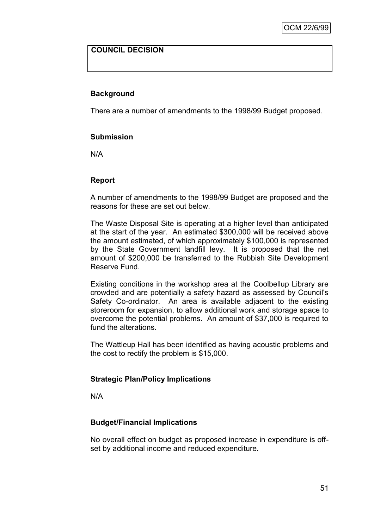## **COUNCIL DECISION**

## **Background**

There are a number of amendments to the 1998/99 Budget proposed.

#### **Submission**

N/A

#### **Report**

A number of amendments to the 1998/99 Budget are proposed and the reasons for these are set out below.

The Waste Disposal Site is operating at a higher level than anticipated at the start of the year. An estimated \$300,000 will be received above the amount estimated, of which approximately \$100,000 is represented by the State Government landfill levy. It is proposed that the net amount of \$200,000 be transferred to the Rubbish Site Development Reserve Fund.

Existing conditions in the workshop area at the Coolbellup Library are crowded and are potentially a safety hazard as assessed by Council's Safety Co-ordinator. An area is available adjacent to the existing storeroom for expansion, to allow additional work and storage space to overcome the potential problems. An amount of \$37,000 is required to fund the alterations.

The Wattleup Hall has been identified as having acoustic problems and the cost to rectify the problem is \$15,000.

#### **Strategic Plan/Policy Implications**

N/A

#### **Budget/Financial Implications**

No overall effect on budget as proposed increase in expenditure is offset by additional income and reduced expenditure.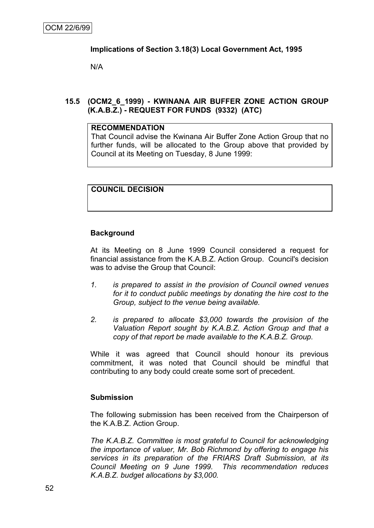## **Implications of Section 3.18(3) Local Government Act, 1995**

N/A

## **15.5 (OCM2\_6\_1999) - KWINANA AIR BUFFER ZONE ACTION GROUP (K.A.B.Z.) - REQUEST FOR FUNDS (9332) (ATC)**

#### **RECOMMENDATION**

That Council advise the Kwinana Air Buffer Zone Action Group that no further funds, will be allocated to the Group above that provided by Council at its Meeting on Tuesday, 8 June 1999:

## **COUNCIL DECISION**

#### **Background**

At its Meeting on 8 June 1999 Council considered a request for financial assistance from the K.A.B.Z. Action Group. Council's decision was to advise the Group that Council:

- *1. is prepared to assist in the provision of Council owned venues for it to conduct public meetings by donating the hire cost to the Group, subject to the venue being available.*
- *2. is prepared to allocate \$3,000 towards the provision of the Valuation Report sought by K.A.B.Z. Action Group and that a copy of that report be made available to the K.A.B.Z. Group.*

While it was agreed that Council should honour its previous commitment, it was noted that Council should be mindful that contributing to any body could create some sort of precedent.

#### **Submission**

The following submission has been received from the Chairperson of the K.A.B.Z. Action Group.

*The K.A.B.Z. Committee is most grateful to Council for acknowledging the importance of valuer, Mr. Bob Richmond by offering to engage his services in its preparation of the FRIARS Draft Submission, at its Council Meeting on 9 June 1999. This recommendation reduces K.A.B.Z. budget allocations by \$3,000.*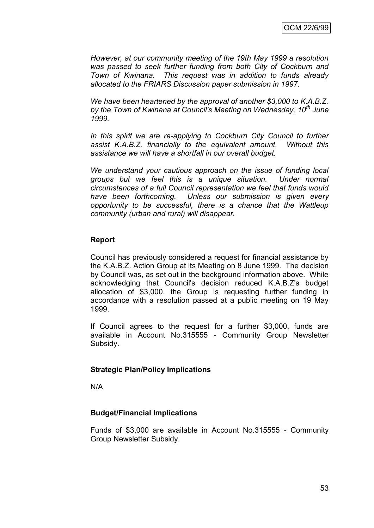*However, at our community meeting of the 19th May 1999 a resolution was passed to seek further funding from both City of Cockburn and Town of Kwinana. This request was in addition to funds already allocated to the FRIARS Discussion paper submission in 1997.*

*We have been heartened by the approval of another \$3,000 to K.A.B.Z. by the Town of Kwinana at Council's Meeting on Wednesday, 10th June 1999.*

In this spirit we are re-applying to Cockburn City Council to further *assist K.A.B.Z. financially to the equivalent amount. Without this assistance we will have a shortfall in our overall budget.*

*We understand your cautious approach on the issue of funding local groups but we feel this is a unique situation. Under normal circumstances of a full Council representation we feel that funds would have been forthcoming. Unless our submission is given every opportunity to be successful, there is a chance that the Wattleup community (urban and rural) will disappear.*

#### **Report**

Council has previously considered a request for financial assistance by the K.A.B.Z. Action Group at its Meeting on 8 June 1999. The decision by Council was, as set out in the background information above. While acknowledging that Council's decision reduced K.A.B.Z's budget allocation of \$3,000, the Group is requesting further funding in accordance with a resolution passed at a public meeting on 19 May 1999.

If Council agrees to the request for a further \$3,000, funds are available in Account No.315555 - Community Group Newsletter Subsidy.

#### **Strategic Plan/Policy Implications**

N/A

#### **Budget/Financial Implications**

Funds of \$3,000 are available in Account No.315555 - Community Group Newsletter Subsidy.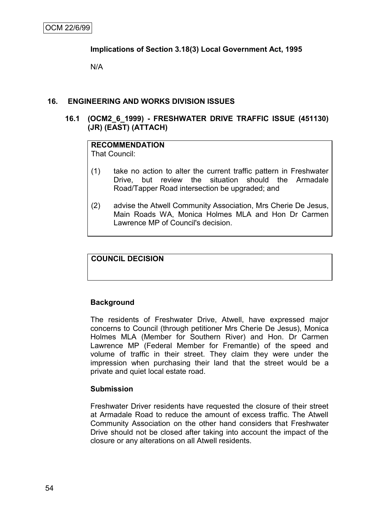## **Implications of Section 3.18(3) Local Government Act, 1995**

N/A

#### **16. ENGINEERING AND WORKS DIVISION ISSUES**

#### **16.1 (OCM2\_6\_1999) - FRESHWATER DRIVE TRAFFIC ISSUE (451130) (JR) (EAST) (ATTACH)**

#### **RECOMMENDATION** That Council:

- (1) take no action to alter the current traffic pattern in Freshwater Drive, but review the situation should the Armadale Road/Tapper Road intersection be upgraded; and
- (2) advise the Atwell Community Association, Mrs Cherie De Jesus, Main Roads WA, Monica Holmes MLA and Hon Dr Carmen Lawrence MP of Council's decision.

#### **COUNCIL DECISION**

#### **Background**

The residents of Freshwater Drive, Atwell, have expressed major concerns to Council (through petitioner Mrs Cherie De Jesus), Monica Holmes MLA (Member for Southern River) and Hon. Dr Carmen Lawrence MP (Federal Member for Fremantle) of the speed and volume of traffic in their street. They claim they were under the impression when purchasing their land that the street would be a private and quiet local estate road.

#### **Submission**

Freshwater Driver residents have requested the closure of their street at Armadale Road to reduce the amount of excess traffic. The Atwell Community Association on the other hand considers that Freshwater Drive should not be closed after taking into account the impact of the closure or any alterations on all Atwell residents.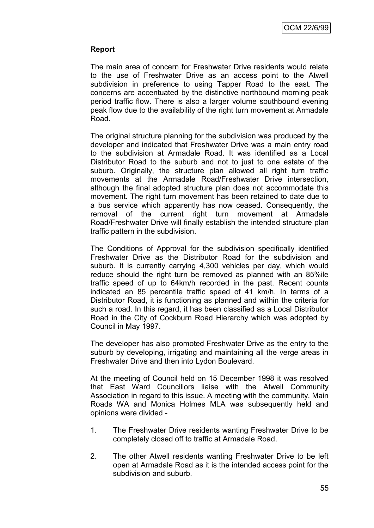## **Report**

The main area of concern for Freshwater Drive residents would relate to the use of Freshwater Drive as an access point to the Atwell subdivision in preference to using Tapper Road to the east. The concerns are accentuated by the distinctive northbound morning peak period traffic flow. There is also a larger volume southbound evening peak flow due to the availability of the right turn movement at Armadale Road.

The original structure planning for the subdivision was produced by the developer and indicated that Freshwater Drive was a main entry road to the subdivision at Armadale Road. It was identified as a Local Distributor Road to the suburb and not to just to one estate of the suburb. Originally, the structure plan allowed all right turn traffic movements at the Armadale Road/Freshwater Drive intersection, although the final adopted structure plan does not accommodate this movement. The right turn movement has been retained to date due to a bus service which apparently has now ceased. Consequently, the removal of the current right turn movement at Armadale Road/Freshwater Drive will finally establish the intended structure plan traffic pattern in the subdivision.

The Conditions of Approval for the subdivision specifically identified Freshwater Drive as the Distributor Road for the subdivision and suburb. It is currently carrying 4,300 vehicles per day, which would reduce should the right turn be removed as planned with an 85%ile traffic speed of up to 64km/h recorded in the past. Recent counts indicated an 85 percentile traffic speed of 41 km/h. In terms of a Distributor Road, it is functioning as planned and within the criteria for such a road. In this regard, it has been classified as a Local Distributor Road in the City of Cockburn Road Hierarchy which was adopted by Council in May 1997.

The developer has also promoted Freshwater Drive as the entry to the suburb by developing, irrigating and maintaining all the verge areas in Freshwater Drive and then into Lydon Boulevard.

At the meeting of Council held on 15 December 1998 it was resolved that East Ward Councillors liaise with the Atwell Community Association in regard to this issue. A meeting with the community, Main Roads WA and Monica Holmes MLA was subsequently held and opinions were divided -

- 1. The Freshwater Drive residents wanting Freshwater Drive to be completely closed off to traffic at Armadale Road.
- 2. The other Atwell residents wanting Freshwater Drive to be left open at Armadale Road as it is the intended access point for the subdivision and suburb.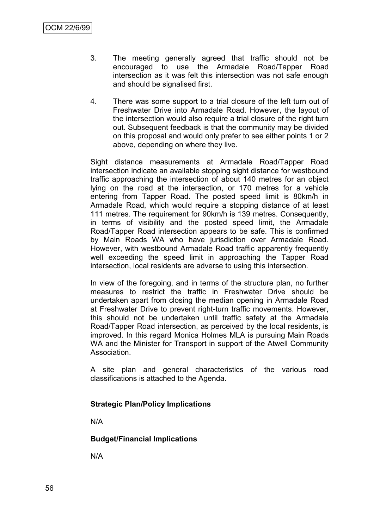- 3. The meeting generally agreed that traffic should not be encouraged to use the Armadale Road/Tapper Road intersection as it was felt this intersection was not safe enough and should be signalised first.
- 4. There was some support to a trial closure of the left turn out of Freshwater Drive into Armadale Road. However, the layout of the intersection would also require a trial closure of the right turn out. Subsequent feedback is that the community may be divided on this proposal and would only prefer to see either points 1 or 2 above, depending on where they live.

Sight distance measurements at Armadale Road/Tapper Road intersection indicate an available stopping sight distance for westbound traffic approaching the intersection of about 140 metres for an object lying on the road at the intersection, or 170 metres for a vehicle entering from Tapper Road. The posted speed limit is 80km/h in Armadale Road, which would require a stopping distance of at least 111 metres. The requirement for 90km/h is 139 metres. Consequently, in terms of visibility and the posted speed limit, the Armadale Road/Tapper Road intersection appears to be safe. This is confirmed by Main Roads WA who have jurisdiction over Armadale Road. However, with westbound Armadale Road traffic apparently frequently well exceeding the speed limit in approaching the Tapper Road intersection, local residents are adverse to using this intersection.

In view of the foregoing, and in terms of the structure plan, no further measures to restrict the traffic in Freshwater Drive should be undertaken apart from closing the median opening in Armadale Road at Freshwater Drive to prevent right-turn traffic movements. However, this should not be undertaken until traffic safety at the Armadale Road/Tapper Road intersection, as perceived by the local residents, is improved. In this regard Monica Holmes MLA is pursuing Main Roads WA and the Minister for Transport in support of the Atwell Community Association.

A site plan and general characteristics of the various road classifications is attached to the Agenda.

## **Strategic Plan/Policy Implications**

N/A

**Budget/Financial Implications**

N/A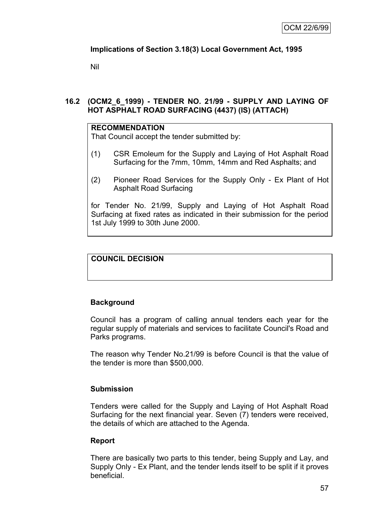## **Implications of Section 3.18(3) Local Government Act, 1995**

Nil

## **16.2 (OCM2\_6\_1999) - TENDER NO. 21/99 - SUPPLY AND LAYING OF HOT ASPHALT ROAD SURFACING (4437) (IS) (ATTACH)**

#### **RECOMMENDATION**

That Council accept the tender submitted by:

- (1) CSR Emoleum for the Supply and Laying of Hot Asphalt Road Surfacing for the 7mm, 10mm, 14mm and Red Asphalts; and
- (2) Pioneer Road Services for the Supply Only Ex Plant of Hot Asphalt Road Surfacing

for Tender No. 21/99, Supply and Laying of Hot Asphalt Road Surfacing at fixed rates as indicated in their submission for the period 1st July 1999 to 30th June 2000.

## **COUNCIL DECISION**

## **Background**

Council has a program of calling annual tenders each year for the regular supply of materials and services to facilitate Council's Road and Parks programs.

The reason why Tender No.21/99 is before Council is that the value of the tender is more than \$500,000.

## **Submission**

Tenders were called for the Supply and Laying of Hot Asphalt Road Surfacing for the next financial year. Seven (7) tenders were received, the details of which are attached to the Agenda.

#### **Report**

There are basically two parts to this tender, being Supply and Lay, and Supply Only - Ex Plant, and the tender lends itself to be split if it proves beneficial.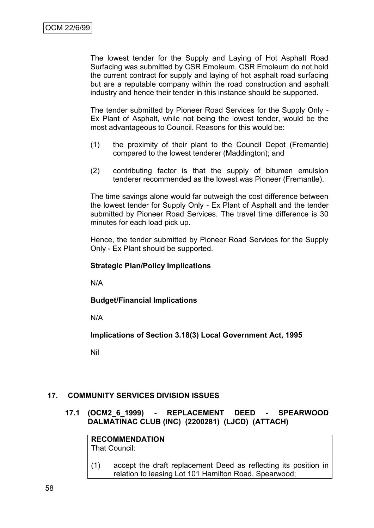The lowest tender for the Supply and Laying of Hot Asphalt Road Surfacing was submitted by CSR Emoleum. CSR Emoleum do not hold the current contract for supply and laying of hot asphalt road surfacing but are a reputable company within the road construction and asphalt industry and hence their tender in this instance should be supported.

The tender submitted by Pioneer Road Services for the Supply Only - Ex Plant of Asphalt, while not being the lowest tender, would be the most advantageous to Council. Reasons for this would be:

- (1) the proximity of their plant to the Council Depot (Fremantle) compared to the lowest tenderer (Maddington); and
- (2) contributing factor is that the supply of bitumen emulsion tenderer recommended as the lowest was Pioneer (Fremantle).

The time savings alone would far outweigh the cost difference between the lowest tender for Supply Only - Ex Plant of Asphalt and the tender submitted by Pioneer Road Services. The travel time difference is 30 minutes for each load pick up.

Hence, the tender submitted by Pioneer Road Services for the Supply Only - Ex Plant should be supported.

#### **Strategic Plan/Policy Implications**

N/A

**Budget/Financial Implications**

N/A

**Implications of Section 3.18(3) Local Government Act, 1995**

Nil

## **17. COMMUNITY SERVICES DIVISION ISSUES**

**17.1 (OCM2\_6\_1999) - REPLACEMENT DEED - SPEARWOOD DALMATINAC CLUB (INC) (2200281) (LJCD) (ATTACH)**

**RECOMMENDATION** That Council:

(1) accept the draft replacement Deed as reflecting its position in relation to leasing Lot 101 Hamilton Road, Spearwood;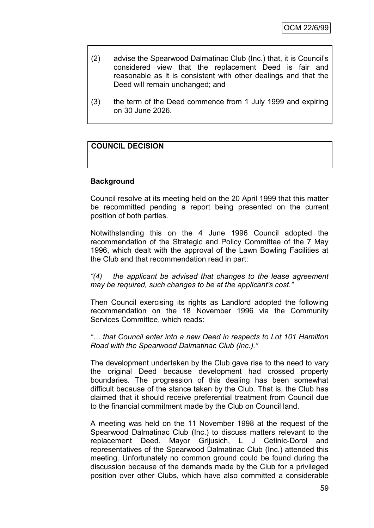- (2) advise the Spearwood Dalmatinac Club (Inc.) that, it is Council's considered view that the replacement Deed is fair and reasonable as it is consistent with other dealings and that the Deed will remain unchanged; and
- (3) the term of the Deed commence from 1 July 1999 and expiring on 30 June 2026.

## **COUNCIL DECISION**

#### **Background**

Council resolve at its meeting held on the 20 April 1999 that this matter be recommitted pending a report being presented on the current position of both parties.

Notwithstanding this on the 4 June 1996 Council adopted the recommendation of the Strategic and Policy Committee of the 7 May 1996, which dealt with the approval of the Lawn Bowling Facilities at the Club and that recommendation read in part:

*"(4) the applicant be advised that changes to the lease agreement may be required, such changes to be at the applicant's cost."* 

Then Council exercising its rights as Landlord adopted the following recommendation on the 18 November 1996 via the Community Services Committee, which reads:

*"… that Council enter into a new Deed in respects to Lot 101 Hamilton Road with the Spearwood Dalmatinac Club (Inc.)."*

The development undertaken by the Club gave rise to the need to vary the original Deed because development had crossed property boundaries. The progression of this dealing has been somewhat difficult because of the stance taken by the Club. That is, the Club has claimed that it should receive preferential treatment from Council due to the financial commitment made by the Club on Council land.

A meeting was held on the 11 November 1998 at the request of the Spearwood Dalmatinac Club (Inc.) to discuss matters relevant to the replacement Deed. Mayor Grljusich, L J Cetinic-Dorol and representatives of the Spearwood Dalmatinac Club (Inc.) attended this meeting. Unfortunately no common ground could be found during the discussion because of the demands made by the Club for a privileged position over other Clubs, which have also committed a considerable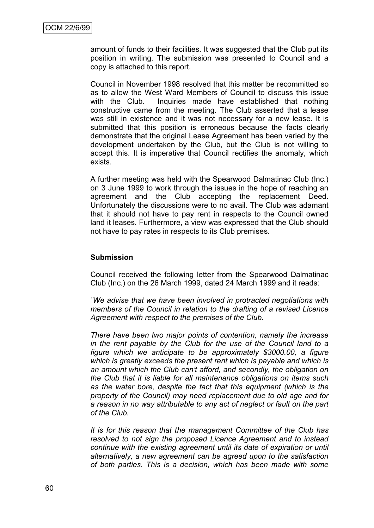amount of funds to their facilities. It was suggested that the Club put its position in writing. The submission was presented to Council and a copy is attached to this report.

Council in November 1998 resolved that this matter be recommitted so as to allow the West Ward Members of Council to discuss this issue with the Club. Inquiries made have established that nothing constructive came from the meeting. The Club asserted that a lease was still in existence and it was not necessary for a new lease. It is submitted that this position is erroneous because the facts clearly demonstrate that the original Lease Agreement has been varied by the development undertaken by the Club, but the Club is not willing to accept this. It is imperative that Council rectifies the anomaly, which exists.

A further meeting was held with the Spearwood Dalmatinac Club (Inc.) on 3 June 1999 to work through the issues in the hope of reaching an agreement and the Club accepting the replacement Deed. Unfortunately the discussions were to no avail. The Club was adamant that it should not have to pay rent in respects to the Council owned land it leases. Furthermore, a view was expressed that the Club should not have to pay rates in respects to its Club premises.

#### **Submission**

Council received the following letter from the Spearwood Dalmatinac Club (Inc.) on the 26 March 1999, dated 24 March 1999 and it reads:

*"We advise that we have been involved in protracted negotiations with members of the Council in relation to the drafting of a revised Licence Agreement with respect to the premises of the Club.*

*There have been two major points of contention, namely the increase in the rent payable by the Club for the use of the Council land to a figure which we anticipate to be approximately \$3000.00, a figure which is greatly exceeds the present rent which is payable and which is an amount which the Club can't afford, and secondly, the obligation on the Club that it is liable for all maintenance obligations on items such as the water bore, despite the fact that this equipment (which is the property of the Council) may need replacement due to old age and for a reason in no way attributable to any act of neglect or fault on the part of the Club.*

*It is for this reason that the management Committee of the Club has resolved to not sign the proposed Licence Agreement and to instead continue with the existing agreement until its date of expiration or until alternatively, a new agreement can be agreed upon to the satisfaction of both parties. This is a decision, which has been made with some*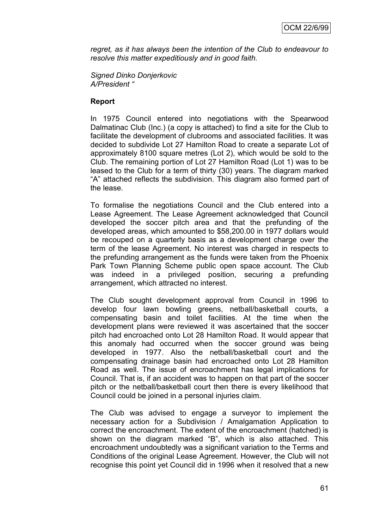*regret, as it has always been the intention of the Club to endeavour to resolve this matter expeditiously and in good faith.*

*Signed Dinko Donjerkovic A/President "*

#### **Report**

In 1975 Council entered into negotiations with the Spearwood Dalmatinac Club (Inc.) (a copy is attached) to find a site for the Club to facilitate the development of clubrooms and associated facilities. It was decided to subdivide Lot 27 Hamilton Road to create a separate Lot of approximately 8100 square metres (Lot 2), which would be sold to the Club. The remaining portion of Lot 27 Hamilton Road (Lot 1) was to be leased to the Club for a term of thirty (30) years. The diagram marked "A" attached reflects the subdivision. This diagram also formed part of the lease.

To formalise the negotiations Council and the Club entered into a Lease Agreement. The Lease Agreement acknowledged that Council developed the soccer pitch area and that the prefunding of the developed areas, which amounted to \$58,200.00 in 1977 dollars would be recouped on a quarterly basis as a development charge over the term of the lease Agreement. No interest was charged in respects to the prefunding arrangement as the funds were taken from the Phoenix Park Town Planning Scheme public open space account. The Club was indeed in a privileged position, securing a prefunding arrangement, which attracted no interest.

The Club sought development approval from Council in 1996 to develop four lawn bowling greens, netball/basketball courts, a compensating basin and toilet facilities. At the time when the development plans were reviewed it was ascertained that the soccer pitch had encroached onto Lot 28 Hamilton Road. It would appear that this anomaly had occurred when the soccer ground was being developed in 1977. Also the netball/basketball court and the compensating drainage basin had encroached onto Lot 28 Hamilton Road as well. The issue of encroachment has legal implications for Council. That is, if an accident was to happen on that part of the soccer pitch or the netball/basketball court then there is every likelihood that Council could be joined in a personal injuries claim.

The Club was advised to engage a surveyor to implement the necessary action for a Subdivision / Amalgamation Application to correct the encroachment. The extent of the encroachment (hatched) is shown on the diagram marked "B", which is also attached. This encroachment undoubtedly was a significant variation to the Terms and Conditions of the original Lease Agreement. However, the Club will not recognise this point yet Council did in 1996 when it resolved that a new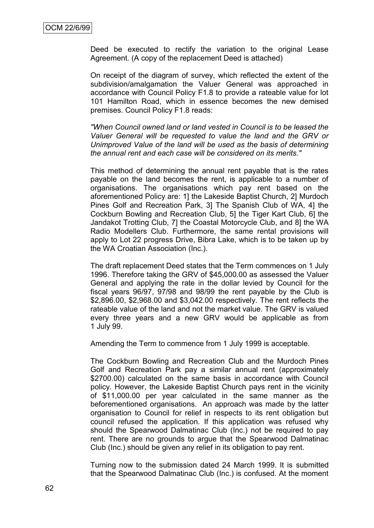Deed be executed to rectify the variation to the original Lease Agreement. (A copy of the replacement Deed is attached)

On receipt of the diagram of survey, which reflected the extent of the subdivision/amalgamation the Valuer General was approached in accordance with Council Policy F1.8 to provide a rateable value for lot 101 Hamilton Road, which in essence becomes the new demised premises. Council Policy F1.8 reads:

*"When Council owned land or land vested in Council is to be leased the Valuer General will be requested to value the land and the GRV or Unimproved Value of the land will be used as the basis of determining the annual rent and each case will be considered on its merits."*

This method of determining the annual rent payable that is the rates payable on the land becomes the rent, is applicable to a number of organisations. The organisations which pay rent based on the aforementioned Policy are: 1] the Lakeside Baptist Church, 2] Murdoch Pines Golf and Recreation Park, 3] The Spanish Club of WA, 4] the Cockburn Bowling and Recreation Club, 5] the Tiger Kart Club, 6] the Jandakot Trotting Club, 7] the Coastal Motorcycle Club, and 8] the WA Radio Modellers Club. Furthermore, the same rental provisions will apply to Lot 22 progress Drive, Bibra Lake, which is to be taken up by the WA Croatian Association (Inc.).

The draft replacement Deed states that the Term commences on 1 July 1996. Therefore taking the GRV of \$45,000.00 as assessed the Valuer General and applying the rate in the dollar levied by Council for the fiscal years 96/97, 97/98 and 98/99 the rent payable by the Club is \$2,896.00, \$2,968.00 and \$3,042.00 respectively. The rent reflects the rateable value of the land and not the market value. The GRV is valued every three years and a new GRV would be applicable as from 1 July 99.

Amending the Term to commence from 1 July 1999 is acceptable.

The Cockburn Bowling and Recreation Club and the Murdoch Pines Golf and Recreation Park pay a similar annual rent (approximately \$2700.00) calculated on the same basis in accordance with Council policy. However, the Lakeside Baptist Church pays rent in the vicinity of \$11,000.00 per year calculated in the same manner as the beforementioned organisations. An approach was made by the latter organisation to Council for relief in respects to its rent obligation but council refused the application. If this application was refused why should the Spearwood Dalmatinac Club (Inc.) not be required to pay rent. There are no grounds to argue that the Spearwood Dalmatinac Club (Inc.) should be given any relief in its obligation to pay rent.

Turning now to the submission dated 24 March 1999. It is submitted that the Spearwood Dalmatinac Club (Inc.) is confused. At the moment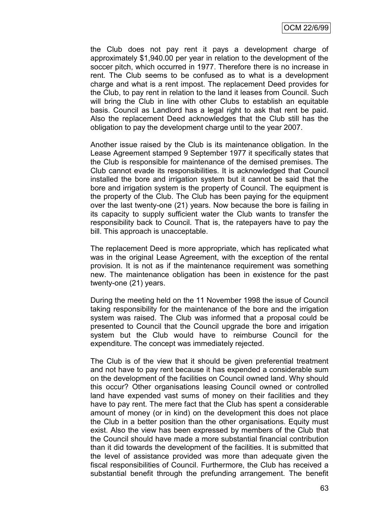the Club does not pay rent it pays a development charge of approximately \$1,940.00 per year in relation to the development of the soccer pitch, which occurred in 1977. Therefore there is no increase in rent. The Club seems to be confused as to what is a development charge and what is a rent impost. The replacement Deed provides for the Club, to pay rent in relation to the land it leases from Council. Such will bring the Club in line with other Clubs to establish an equitable basis. Council as Landlord has a legal right to ask that rent be paid. Also the replacement Deed acknowledges that the Club still has the obligation to pay the development charge until to the year 2007.

Another issue raised by the Club is its maintenance obligation. In the Lease Agreement stamped 9 September 1977 it specifically states that the Club is responsible for maintenance of the demised premises. The Club cannot evade its responsibilities. It is acknowledged that Council installed the bore and irrigation system but it cannot be said that the bore and irrigation system is the property of Council. The equipment is the property of the Club. The Club has been paying for the equipment over the last twenty-one (21) years. Now because the bore is failing in its capacity to supply sufficient water the Club wants to transfer the responsibility back to Council. That is, the ratepayers have to pay the bill. This approach is unacceptable.

The replacement Deed is more appropriate, which has replicated what was in the original Lease Agreement, with the exception of the rental provision. It is not as if the maintenance requirement was something new. The maintenance obligation has been in existence for the past twenty-one (21) years.

During the meeting held on the 11 November 1998 the issue of Council taking responsibility for the maintenance of the bore and the irrigation system was raised. The Club was informed that a proposal could be presented to Council that the Council upgrade the bore and irrigation system but the Club would have to reimburse Council for the expenditure. The concept was immediately rejected.

The Club is of the view that it should be given preferential treatment and not have to pay rent because it has expended a considerable sum on the development of the facilities on Council owned land. Why should this occur? Other organisations leasing Council owned or controlled land have expended vast sums of money on their facilities and they have to pay rent. The mere fact that the Club has spent a considerable amount of money (or in kind) on the development this does not place the Club in a better position than the other organisations. Equity must exist. Also the view has been expressed by members of the Club that the Council should have made a more substantial financial contribution than it did towards the development of the facilities. It is submitted that the level of assistance provided was more than adequate given the fiscal responsibilities of Council. Furthermore, the Club has received a substantial benefit through the prefunding arrangement. The benefit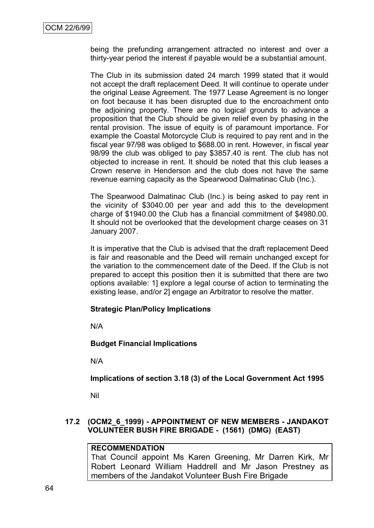being the prefunding arrangement attracted no interest and over a thirty-year period the interest if payable would be a substantial amount.

The Club in its submission dated 24 march 1999 stated that it would not accept the draft replacement Deed. It will continue to operate under the original Lease Agreement. The 1977 Lease Agreement is no longer on foot because it has been disrupted due to the encroachment onto the adjoining property. There are no logical grounds to advance a proposition that the Club should be given relief even by phasing in the rental provision. The issue of equity is of paramount importance. For example the Coastal Motorcycle Club is required to pay rent and in the fiscal year 97/98 was obliged to \$688.00 in rent. However, in fiscal year 98/99 the club was obliged to pay \$3857.40 is rent. The club has not objected to increase in rent. It should be noted that this club leases a Crown reserve in Henderson and the club does not have the same revenue earning capacity as the Spearwood Dalmatinac Club (Inc.).

The Spearwood Dalmatinac Club (Inc.) is being asked to pay rent in the vicinity of \$3040.00 per year and add this to the development charge of \$1940.00 the Club has a financial commitment of \$4980.00. It should not be overlooked that the development charge ceases on 31 January 2007.

It is imperative that the Club is advised that the draft replacement Deed is fair and reasonable and the Deed will remain unchanged except for the variation to the commencement date of the Deed. If the Club is not prepared to accept this position then it is submitted that there are two options available: 1] explore a legal course of action to terminating the existing lease, and/or 2] engage an Arbitrator to resolve the matter.

#### **Strategic Plan/Policy Implications**

N/A

**Budget Financial Implications**

N/A

**Implications of section 3.18 (3) of the Local Government Act 1995**

Nil

## **17.2 (OCM2\_6\_1999) - APPOINTMENT OF NEW MEMBERS - JANDAKOT VOLUNTEER BUSH FIRE BRIGADE - (1561) (DMG) (EAST)**

#### **RECOMMENDATION**

That Council appoint Ms Karen Greening, Mr Darren Kirk, Mr Robert Leonard William Haddrell and Mr Jason Prestney as members of the Jandakot Volunteer Bush Fire Brigade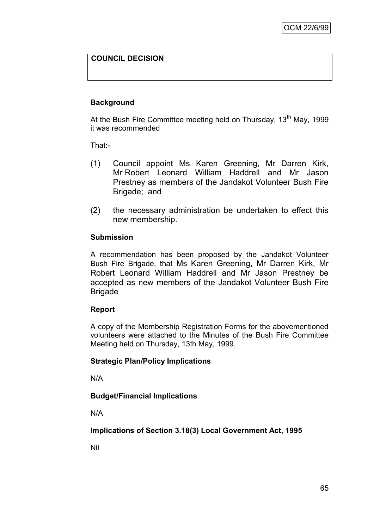## **COUNCIL DECISION**

## **Background**

At the Bush Fire Committee meeting held on Thursday, 13<sup>th</sup> May, 1999 it was recommended

That:-

- (1) Council appoint Ms Karen Greening, Mr Darren Kirk, Mr Robert Leonard William Haddrell and Mr Jason Prestney as members of the Jandakot Volunteer Bush Fire Brigade; and
- (2) the necessary administration be undertaken to effect this new membership.

#### **Submission**

A recommendation has been proposed by the Jandakot Volunteer Bush Fire Brigade, that Ms Karen Greening, Mr Darren Kirk, Mr Robert Leonard William Haddrell and Mr Jason Prestney be accepted as new members of the Jandakot Volunteer Bush Fire Brigade

#### **Report**

A copy of the Membership Registration Forms for the abovementioned volunteers were attached to the Minutes of the Bush Fire Committee Meeting held on Thursday, 13th May, 1999.

#### **Strategic Plan/Policy Implications**

N/A

#### **Budget/Financial Implications**

N/A

**Implications of Section 3.18(3) Local Government Act, 1995**

Nil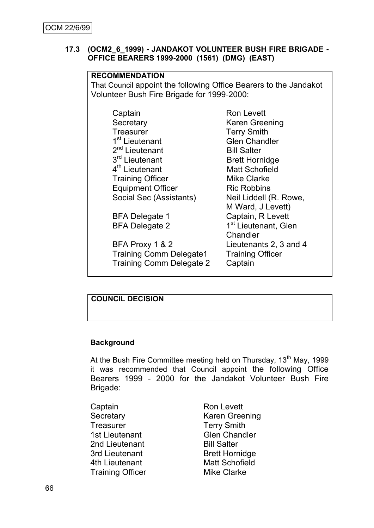#### **17.3 (OCM2\_6\_1999) - JANDAKOT VOLUNTEER BUSH FIRE BRIGADE - OFFICE BEARERS 1999-2000 (1561) (DMG) (EAST)**

## **RECOMMENDATION**

That Council appoint the following Office Bearers to the Jandakot Volunteer Bush Fire Brigade for 1999-2000:

| Captain                    |  |
|----------------------------|--|
| Secretary                  |  |
| <b>Treasurer</b>           |  |
| 1 <sup>st</sup> Lieutenant |  |
| 2 <sup>nd</sup> Lieutenant |  |
| 3rd Lieutenant             |  |
| 4 <sup>th</sup> Lieutenant |  |
| <b>Training Officer</b>    |  |
| <b>Equipment Officer</b>   |  |
| Social Sec (Assistants)    |  |
|                            |  |

BFA Delegate 2

BFA Proxy 1 & 2 Lieutenants 2, 3 and 4 Training Comm Delegate1 Training Officer Training Comm Delegate 2 Captain

**Ron Levett** Karen Greening Terry Smith **Glen Chandler Bill Salter Brett Hornidge Matt Schofield Mike Clarke Ric Robbins** Neil Liddell (R. Rowe, M Ward, J Levett) BFA Delegate 1 Captain, R Levett 1<sup>st</sup> Lieutenant, Glen **Chandler** 

## **COUNCIL DECISION**

## **Background**

At the Bush Fire Committee meeting held on Thursday,  $13<sup>th</sup>$  May, 1999 it was recommended that Council appoint the following Office Bearers 1999 - 2000 for the Jandakot Volunteer Bush Fire Brigade:

Captain Ron Levett Treasurer Terry Smith 1st Lieutenant Glen Chandler 2nd Lieutenant Bill Salter 3rd Lieutenant Brett Hornidge 4th Lieutenant Matt Schofield Training Officer Mike Clarke

Secretary **Karen Greening**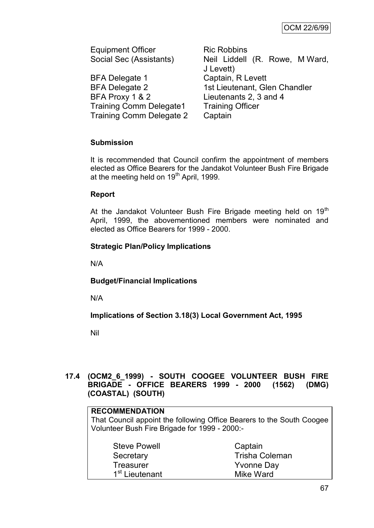Equipment Officer Ric Robbins

BFA Delegate 1 Captain, R Levett BFA Proxy 1 & 2 Lieutenants 2, 3 and 4 Training Comm Delegate1 Training Officer Training Comm Delegate 2 Captain

Social Sec (Assistants) Neil Liddell (R. Rowe, M Ward, J Levett) BFA Delegate 2 1st Lieutenant, Glen Chandler

# **Submission**

It is recommended that Council confirm the appointment of members elected as Office Bearers for the Jandakot Volunteer Bush Fire Brigade at the meeting held on 19<sup>th</sup> April, 1999.

# **Report**

At the Jandakot Volunteer Bush Fire Brigade meeting held on 19<sup>th</sup> April, 1999, the abovementioned members were nominated and elected as Office Bearers for 1999 - 2000.

# **Strategic Plan/Policy Implications**

N/A

# **Budget/Financial Implications**

N/A

**Implications of Section 3.18(3) Local Government Act, 1995**

Nil

# **17.4 (OCM2\_6\_1999) - SOUTH COOGEE VOLUNTEER BUSH FIRE BRIGADE - OFFICE BEARERS 1999 - 2000 (1562) (DMG) (COASTAL) (SOUTH)**

# **RECOMMENDATION**

That Council appoint the following Office Bearers to the South Coogee Volunteer Bush Fire Brigade for 1999 - 2000:-

| <b>Steve Powell</b>        | Captain               |
|----------------------------|-----------------------|
| Secretary                  | <b>Trisha Coleman</b> |
| <b>Treasurer</b>           | <b>Yvonne Day</b>     |
| 1 <sup>st</sup> Lieutenant | Mike Ward             |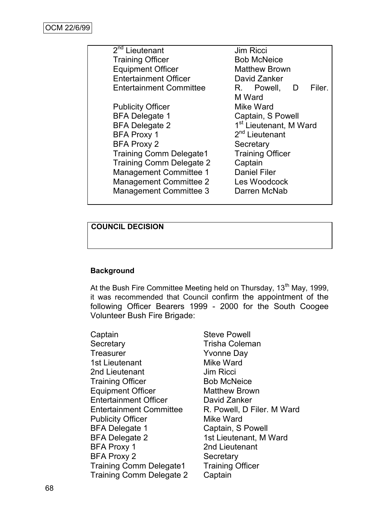| $2nd$ Lieutenant                                          | <b>Jim Ricci</b>                   |  |  |
|-----------------------------------------------------------|------------------------------------|--|--|
| <b>Training Officer</b>                                   | <b>Bob McNeice</b>                 |  |  |
| <b>Equipment Officer</b>                                  | <b>Matthew Brown</b>               |  |  |
| <b>Entertainment Officer</b>                              | David Zanker                       |  |  |
| <b>Entertainment Committee</b>                            | Filer.<br>R. Powell, D             |  |  |
|                                                           | M Ward                             |  |  |
| <b>Publicity Officer</b>                                  | Mike Ward                          |  |  |
| <b>BFA Delegate 1</b>                                     | Captain, S Powell                  |  |  |
| <b>BFA Delegate 2</b>                                     | 1 <sup>st</sup> Lieutenant, M Ward |  |  |
| <b>BFA Proxy 1</b>                                        | 2 <sup>nd</sup> Lieutenant         |  |  |
| <b>BFA Proxy 2</b>                                        | Secretary                          |  |  |
| <b>Training Comm Delegate1</b><br><b>Training Officer</b> |                                    |  |  |
| <b>Training Comm Delegate 2</b>                           | Captain                            |  |  |
| <b>Management Committee 1</b>                             | <b>Daniel Filer</b>                |  |  |
| <b>Management Committee 2</b>                             | Les Woodcock                       |  |  |
| Management Committee 3                                    | Darren McNab                       |  |  |
|                                                           |                                    |  |  |

# **COUNCIL DECISION**

#### **Background**

At the Bush Fire Committee Meeting held on Thursday, 13<sup>th</sup> May, 1999, it was recommended that Council confirm the appointment of the following Officer Bearers 1999 - 2000 for the South Coogee Volunteer Bush Fire Brigade:

Captain **Steve Powell** Secretary **Trisha Coleman** Treasurer **Yvonne Day** 1st Lieutenant Mike Ward 2nd Lieutenant Jim Ricci Training Officer Bob McNeice Equipment Officer Matthew Brown Entertainment Officer David Zanker Entertainment Committee R. Powell, D Filer. M Ward Publicity Officer Mike Ward BFA Delegate 1 Captain, S Powell BFA Delegate 2 1st Lieutenant, M Ward BFA Proxy 1 2nd Lieutenant BFA Proxy 2 Secretary<br>Training Comm Delegate1 Training Officer Training Comm Delegate1 Training Comm Delegate 2 Captain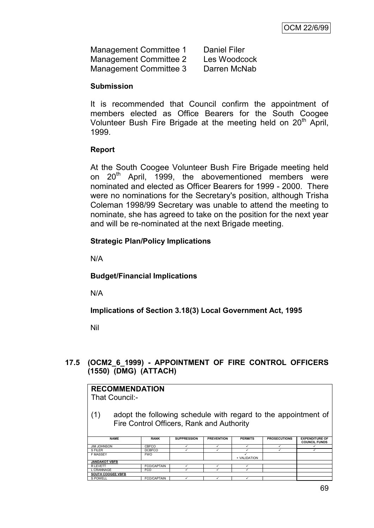| Management Committee 1 | <b>Daniel Filer</b> |
|------------------------|---------------------|
| Management Committee 2 | Les Woodcock        |
| Management Committee 3 | Darren McNab        |

#### **Submission**

It is recommended that Council confirm the appointment of members elected as Office Bearers for the South Coogee Volunteer Bush Fire Brigade at the meeting held on  $20<sup>th</sup>$  April, 1999.

# **Report**

At the South Coogee Volunteer Bush Fire Brigade meeting held on 20<sup>th</sup> April, 1999, the abovementioned members were nominated and elected as Officer Bearers for 1999 - 2000. There were no nominations for the Secretary's position, although Trisha Coleman 1998/99 Secretary was unable to attend the meeting to nominate, she has agreed to take on the position for the next year and will be re-nominated at the next Brigade meeting.

# **Strategic Plan/Policy Implications**

N/A

# **Budget/Financial Implications**

N/A

**Implications of Section 3.18(3) Local Government Act, 1995**

Nil

# **17.5 (OCM2\_6\_1999) - APPOINTMENT OF FIRE CONTROL OFFICERS (1550) (DMG) (ATTACH)**

#### **RECOMMENDATION** That Council:- (1) adopt the following schedule with regard to the appointment of Fire Control Officers, Rank and Authority **NAME RANK SUPPRESSION PREVENTION PERMITS PROSECUTIONS EXPENDITURE OF COUNCIL FUNDS** JIM JOHNSON CBFCO S FILER DCBFCO F MASSEY FWO **VALIDATION JANDAKOT VBFB** R LEVETT FCO/CAPTAIN  $\checkmark$  and  $\checkmark$  and  $\checkmark$  and  $\checkmark$ L CRANNAGE FCO **SOUTH COOGEE VBFB** S POWELL FCO/CAPTAIN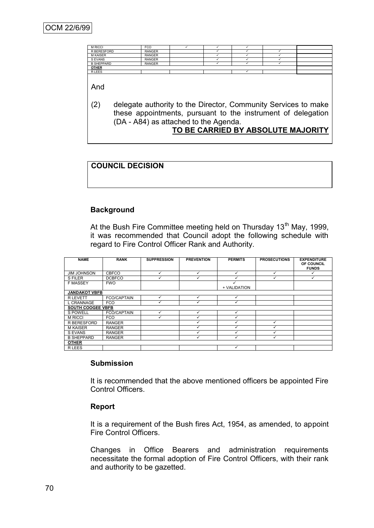| <b>M RICCI</b>    | <b>FCO</b>    |  |  |  |  |  |
|-------------------|---------------|--|--|--|--|--|
| R BERESFORD       | <b>RANGER</b> |  |  |  |  |  |
| <b>M KAISER</b>   | <b>RANGER</b> |  |  |  |  |  |
| S EVANS           | <b>RANGER</b> |  |  |  |  |  |
| <b>B SHEPPARD</b> | <b>RANGER</b> |  |  |  |  |  |
| <b>OTHER</b>      |               |  |  |  |  |  |
| <b>RLEES</b>      |               |  |  |  |  |  |

And

(2) delegate authority to the Director, Community Services to make these appointments, pursuant to the instrument of delegation (DA - A84) as attached to the Agenda.

#### **TO BE CARRIED BY ABSOLUTE MAJORITY**

# **COUNCIL DECISION**

#### **Background**

At the Bush Fire Committee meeting held on Thursday 13<sup>th</sup> May, 1999, it was recommended that Council adopt the following schedule with regard to Fire Control Officer Rank and Authority.

| <b>NAME</b>              | <b>RANK</b>        | <b>SUPPRESSION</b> | <b>PREVENTION</b> | <b>PERMITS</b> | <b>PROSECUTIONS</b> | <b>EXPENDITURE</b><br>OF COUNCIL<br><b>FUNDS</b> |
|--------------------------|--------------------|--------------------|-------------------|----------------|---------------------|--------------------------------------------------|
| <b>JIM JOHNSON</b>       | <b>CBFCO</b>       | ✓                  | $\checkmark$      |                |                     |                                                  |
| S FILER                  | <b>DCBFCO</b>      | v                  |                   |                |                     |                                                  |
| <b>F MASSEY</b>          | <b>FWO</b>         |                    |                   | + VALIDATION   |                     |                                                  |
| <b>JANDAKOT VBFB</b>     |                    |                    |                   |                |                     |                                                  |
| <b>R LEVETT</b>          | <b>FCO/CAPTAIN</b> | ✓                  |                   |                |                     |                                                  |
| L CRANNAGE               | <b>FCO</b>         | ✓                  |                   |                |                     |                                                  |
| <b>SOUTH COOGEE VBFB</b> |                    |                    |                   |                |                     |                                                  |
| S POWELL                 | <b>FCO/CAPTAIN</b> | ✓                  | v                 |                |                     |                                                  |
| <b>M RICCI</b>           | <b>FCO</b>         | ✓                  |                   |                |                     |                                                  |
| R BERESFORD              | <b>RANGER</b>      |                    |                   |                |                     |                                                  |
| <b>M KAISER</b>          | <b>RANGER</b>      |                    |                   |                |                     |                                                  |
| S EVANS                  | <b>RANGER</b>      |                    |                   |                |                     |                                                  |
| <b>B SHEPPARD</b>        | <b>RANGER</b>      |                    |                   |                |                     |                                                  |
| <b>OTHER</b>             |                    |                    |                   |                |                     |                                                  |
| R LEES                   |                    |                    |                   | √              |                     |                                                  |

#### **Submission**

It is recommended that the above mentioned officers be appointed Fire Control Officers.

#### **Report**

It is a requirement of the Bush fires Act, 1954, as amended, to appoint Fire Control Officers.

Changes in Office Bearers and administration requirements necessitate the formal adoption of Fire Control Officers, with their rank and authority to be gazetted.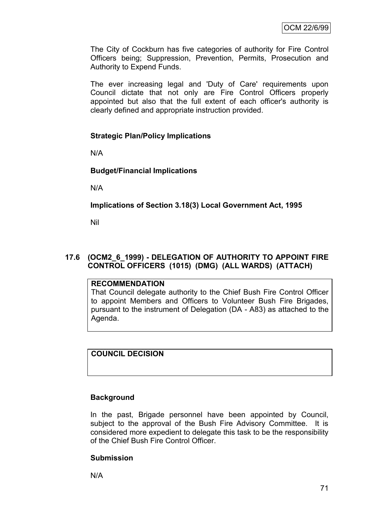The City of Cockburn has five categories of authority for Fire Control Officers being; Suppression, Prevention, Permits, Prosecution and Authority to Expend Funds.

The ever increasing legal and 'Duty of Care' requirements upon Council dictate that not only are Fire Control Officers properly appointed but also that the full extent of each officer's authority is clearly defined and appropriate instruction provided.

# **Strategic Plan/Policy Implications**

N/A

# **Budget/Financial Implications**

N/A

# **Implications of Section 3.18(3) Local Government Act, 1995**

Nil

# **17.6 (OCM2\_6\_1999) - DELEGATION OF AUTHORITY TO APPOINT FIRE CONTROL OFFICERS (1015) (DMG) (ALL WARDS) (ATTACH)**

#### **RECOMMENDATION**

That Council delegate authority to the Chief Bush Fire Control Officer to appoint Members and Officers to Volunteer Bush Fire Brigades, pursuant to the instrument of Delegation (DA - A83) as attached to the Agenda.

# **COUNCIL DECISION**

#### **Background**

In the past, Brigade personnel have been appointed by Council, subject to the approval of the Bush Fire Advisory Committee. It is considered more expedient to delegate this task to be the responsibility of the Chief Bush Fire Control Officer.

#### **Submission**

N/A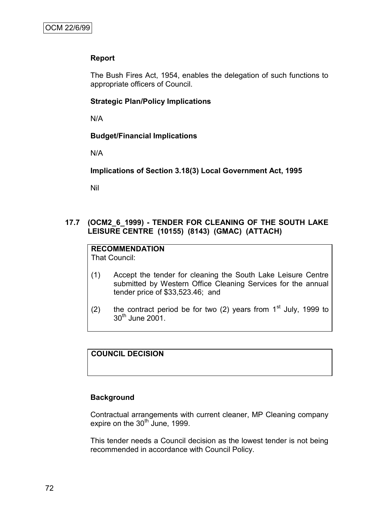# **Report**

The Bush Fires Act, 1954, enables the delegation of such functions to appropriate officers of Council.

#### **Strategic Plan/Policy Implications**

N/A

#### **Budget/Financial Implications**

N/A

**Implications of Section 3.18(3) Local Government Act, 1995**

Nil

# **17.7 (OCM2\_6\_1999) - TENDER FOR CLEANING OF THE SOUTH LAKE LEISURE CENTRE (10155) (8143) (GMAC) (ATTACH)**

# **RECOMMENDATION**

That Council:

- (1) Accept the tender for cleaning the South Lake Leisure Centre submitted by Western Office Cleaning Services for the annual tender price of \$33,523.46; and
- (2) the contract period be for two (2) years from  $1<sup>st</sup>$  July, 1999 to  $30<sup>th</sup>$  June 2001.

# **COUNCIL DECISION**

#### **Background**

Contractual arrangements with current cleaner, MP Cleaning company expire on the  $30<sup>th</sup>$  June, 1999.

This tender needs a Council decision as the lowest tender is not being recommended in accordance with Council Policy.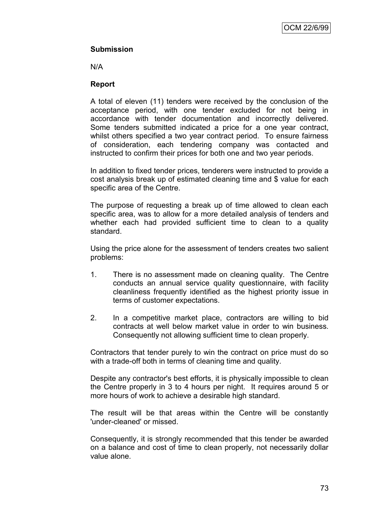# **Submission**

N/A

#### **Report**

A total of eleven (11) tenders were received by the conclusion of the acceptance period, with one tender excluded for not being in accordance with tender documentation and incorrectly delivered. Some tenders submitted indicated a price for a one year contract, whilst others specified a two year contract period. To ensure fairness of consideration, each tendering company was contacted and instructed to confirm their prices for both one and two year periods.

In addition to fixed tender prices, tenderers were instructed to provide a cost analysis break up of estimated cleaning time and \$ value for each specific area of the Centre.

The purpose of requesting a break up of time allowed to clean each specific area, was to allow for a more detailed analysis of tenders and whether each had provided sufficient time to clean to a quality standard.

Using the price alone for the assessment of tenders creates two salient problems:

- 1. There is no assessment made on cleaning quality. The Centre conducts an annual service quality questionnaire, with facility cleanliness frequently identified as the highest priority issue in terms of customer expectations.
- 2. In a competitive market place, contractors are willing to bid contracts at well below market value in order to win business. Consequently not allowing sufficient time to clean properly.

Contractors that tender purely to win the contract on price must do so with a trade-off both in terms of cleaning time and quality.

Despite any contractor's best efforts, it is physically impossible to clean the Centre properly in 3 to 4 hours per night. It requires around 5 or more hours of work to achieve a desirable high standard.

The result will be that areas within the Centre will be constantly 'under-cleaned' or missed.

Consequently, it is strongly recommended that this tender be awarded on a balance and cost of time to clean properly, not necessarily dollar value alone.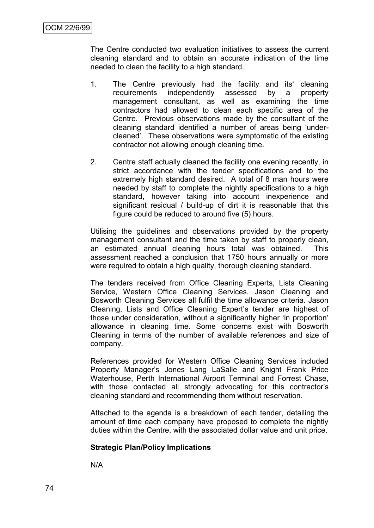The Centre conducted two evaluation initiatives to assess the current cleaning standard and to obtain an accurate indication of the time needed to clean the facility to a high standard.

- 1. The Centre previously had the facility and its' cleaning requirements independently assessed by a property management consultant, as well as examining the time contractors had allowed to clean each specific area of the Centre. Previous observations made by the consultant of the cleaning standard identified a number of areas being 'undercleaned'. These observations were symptomatic of the existing contractor not allowing enough cleaning time.
- 2. Centre staff actually cleaned the facility one evening recently, in strict accordance with the tender specifications and to the extremely high standard desired. A total of 8 man hours were needed by staff to complete the nightly specifications to a high standard, however taking into account inexperience and significant residual / build-up of dirt it is reasonable that this figure could be reduced to around five (5) hours.

Utilising the guidelines and observations provided by the property management consultant and the time taken by staff to properly clean, an estimated annual cleaning hours total was obtained. This assessment reached a conclusion that 1750 hours annually or more were required to obtain a high quality, thorough cleaning standard.

The tenders received from Office Cleaning Experts, Lists Cleaning Service, Western Office Cleaning Services, Jason Cleaning and Bosworth Cleaning Services all fulfil the time allowance criteria. Jason Cleaning, Lists and Office Cleaning Expert's tender are highest of those under consideration, without a significantly higher 'in proportion' allowance in cleaning time. Some concerns exist with Bosworth Cleaning in terms of the number of available references and size of company.

References provided for Western Office Cleaning Services included Property Manager's Jones Lang LaSalle and Knight Frank Price Waterhouse, Perth International Airport Terminal and Forrest Chase, with those contacted all strongly advocating for this contractor's cleaning standard and recommending them without reservation.

Attached to the agenda is a breakdown of each tender, detailing the amount of time each company have proposed to complete the nightly duties within the Centre, with the associated dollar value and unit price.

#### **Strategic Plan/Policy Implications**

N/A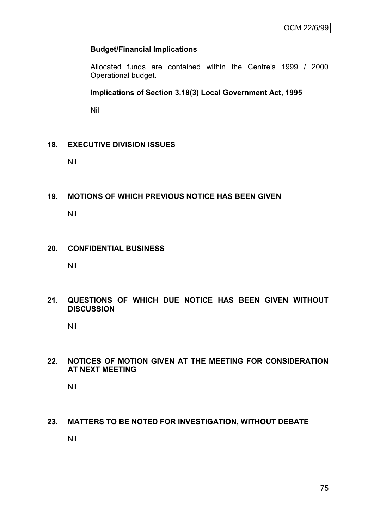#### **Budget/Financial Implications**

Allocated funds are contained within the Centre's 1999 / 2000 Operational budget.

**Implications of Section 3.18(3) Local Government Act, 1995**

Nil

#### **18. EXECUTIVE DIVISION ISSUES**

Nil

# **19. MOTIONS OF WHICH PREVIOUS NOTICE HAS BEEN GIVEN**

Nil

#### **20. CONFIDENTIAL BUSINESS**

Nil

#### **21. QUESTIONS OF WHICH DUE NOTICE HAS BEEN GIVEN WITHOUT DISCUSSION**

Nil

# **22. NOTICES OF MOTION GIVEN AT THE MEETING FOR CONSIDERATION AT NEXT MEETING**

Nil

# **23. MATTERS TO BE NOTED FOR INVESTIGATION, WITHOUT DEBATE**

Nil